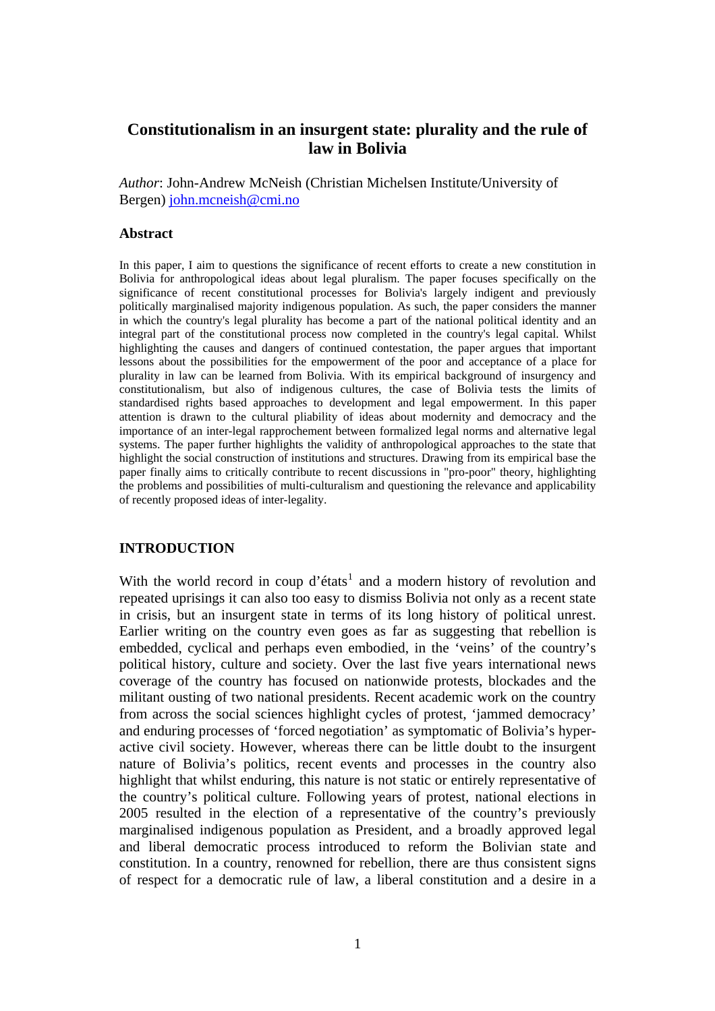# **Constitutionalism in an insurgent state: plurality and the rule of law in Bolivia**

*Author*: John-Andrew McNeish (Christian Michelsen Institute/University of Bergen) [john.mcneish@cmi.no](mailto:john.mcneish%40cmi.no?subject=EASA%202008%20-%20Constitutionalism%20in%20an%20insurgent%20state%3A%20plurality%20and%20the%20rule%20of%20law%20in%20Bolivia)

#### **Abstract**

In this paper, I aim to questions the significance of recent efforts to create a new constitution in Bolivia for anthropological ideas about legal pluralism. The paper focuses specifically on the significance of recent constitutional processes for Bolivia's largely indigent and previously politically marginalised majority indigenous population. As such, the paper considers the manner in which the country's legal plurality has become a part of the national political identity and an integral part of the constitutional process now completed in the country's legal capital. Whilst highlighting the causes and dangers of continued contestation, the paper argues that important lessons about the possibilities for the empowerment of the poor and acceptance of a place for plurality in law can be learned from Bolivia. With its empirical background of insurgency and constitutionalism, but also of indigenous cultures, the case of Bolivia tests the limits of standardised rights based approaches to development and legal empowerment. In this paper attention is drawn to the cultural pliability of ideas about modernity and democracy and the importance of an inter-legal rapprochement between formalized legal norms and alternative legal systems. The paper further highlights the validity of anthropological approaches to the state that highlight the social construction of institutions and structures. Drawing from its empirical base the paper finally aims to critically contribute to recent discussions in "pro-poor" theory, highlighting the problems and possibilities of multi-culturalism and questioning the relevance and applicability of recently proposed ideas of inter-legality.

### **INTRODUCTION**

With the world record in coup d'états<sup>[1](#page-27-0)</sup> and a modern history of revolution and repeated uprisings it can also too easy to dismiss Bolivia not only as a recent state in crisis, but an insurgent state in terms of its long history of political unrest. Earlier writing on the country even goes as far as suggesting that rebellion is embedded, cyclical and perhaps even embodied, in the 'veins' of the country's political history, culture and society. Over the last five years international news coverage of the country has focused on nationwide protests, blockades and the militant ousting of two national presidents. Recent academic work on the country from across the social sciences highlight cycles of protest, 'jammed democracy' and enduring processes of 'forced negotiation' as symptomatic of Bolivia's hyperactive civil society. However, whereas there can be little doubt to the insurgent nature of Bolivia's politics, recent events and processes in the country also highlight that whilst enduring, this nature is not static or entirely representative of the country's political culture. Following years of protest, national elections in 2005 resulted in the election of a representative of the country's previously marginalised indigenous population as President, and a broadly approved legal and liberal democratic process introduced to reform the Bolivian state and constitution. In a country, renowned for rebellion, there are thus consistent signs of respect for a democratic rule of law, a liberal constitution and a desire in a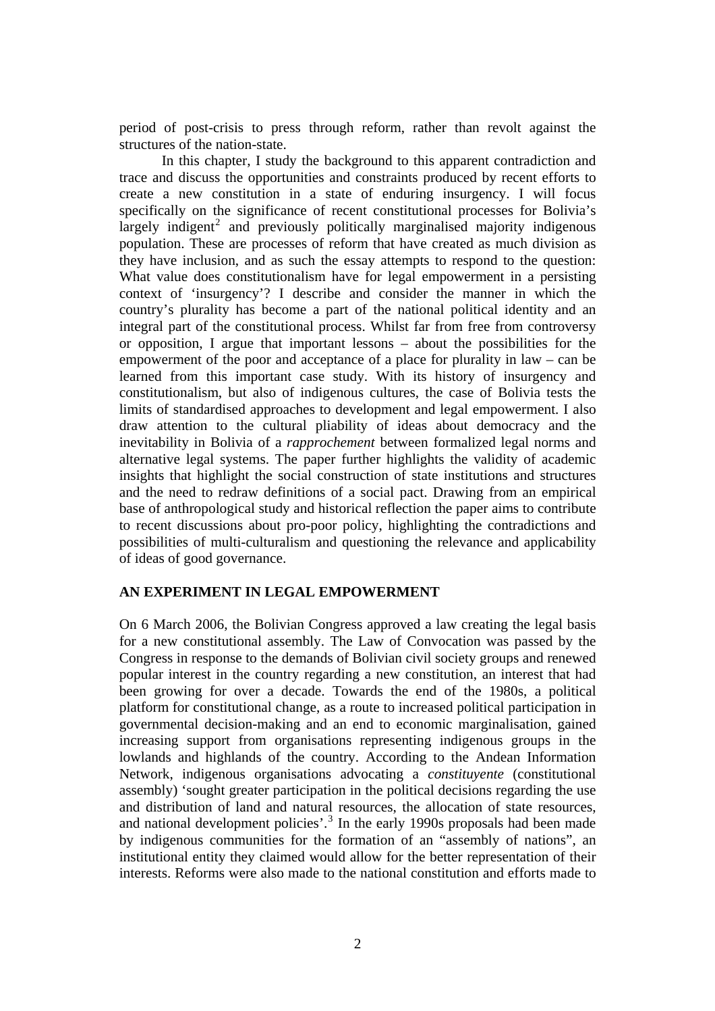period of post-crisis to press through reform, rather than revolt against the structures of the nation-state.

In this chapter, I study the background to this apparent contradiction and trace and discuss the opportunities and constraints produced by recent efforts to create a new constitution in a state of enduring insurgency. I will focus specifically on the significance of recent constitutional processes for Bolivia's largely indigent<sup>[2](#page-27-1)</sup> and previously politically marginalised majority indigenous population. These are processes of reform that have created as much division as they have inclusion, and as such the essay attempts to respond to the question: What value does constitutionalism have for legal empowerment in a persisting context of 'insurgency'? I describe and consider the manner in which the country's plurality has become a part of the national political identity and an integral part of the constitutional process. Whilst far from free from controversy or opposition, I argue that important lessons – about the possibilities for the empowerment of the poor and acceptance of a place for plurality in law – can be learned from this important case study. With its history of insurgency and constitutionalism, but also of indigenous cultures, the case of Bolivia tests the limits of standardised approaches to development and legal empowerment. I also draw attention to the cultural pliability of ideas about democracy and the inevitability in Bolivia of a *rapprochement* between formalized legal norms and alternative legal systems. The paper further highlights the validity of academic insights that highlight the social construction of state institutions and structures and the need to redraw definitions of a social pact. Drawing from an empirical base of anthropological study and historical reflection the paper aims to contribute to recent discussions about pro-poor policy, highlighting the contradictions and possibilities of multi-culturalism and questioning the relevance and applicability of ideas of good governance.

# **AN EXPERIMENT IN LEGAL EMPOWERMENT**

On 6 March 2006, the Bolivian Congress approved a law creating the legal basis for a new constitutional assembly. The Law of Convocation was passed by the Congress in response to the demands of Bolivian civil society groups and renewed popular interest in the country regarding a new constitution, an interest that had been growing for over a decade. Towards the end of the 1980s, a political platform for constitutional change, as a route to increased political participation in governmental decision-making and an end to economic marginalisation, gained increasing support from organisations representing indigenous groups in the lowlands and highlands of the country. According to the Andean Information Network, indigenous organisations advocating a *constituyente* (constitutional assembly) 'sought greater participation in the political decisions regarding the use and distribution of land and natural resources, the allocation of state resources, and national development policies'.<sup>[3](#page-27-1)</sup> In the early 1990s proposals had been made by indigenous communities for the formation of an "assembly of nations", an institutional entity they claimed would allow for the better representation of their interests. Reforms were also made to the national constitution and efforts made to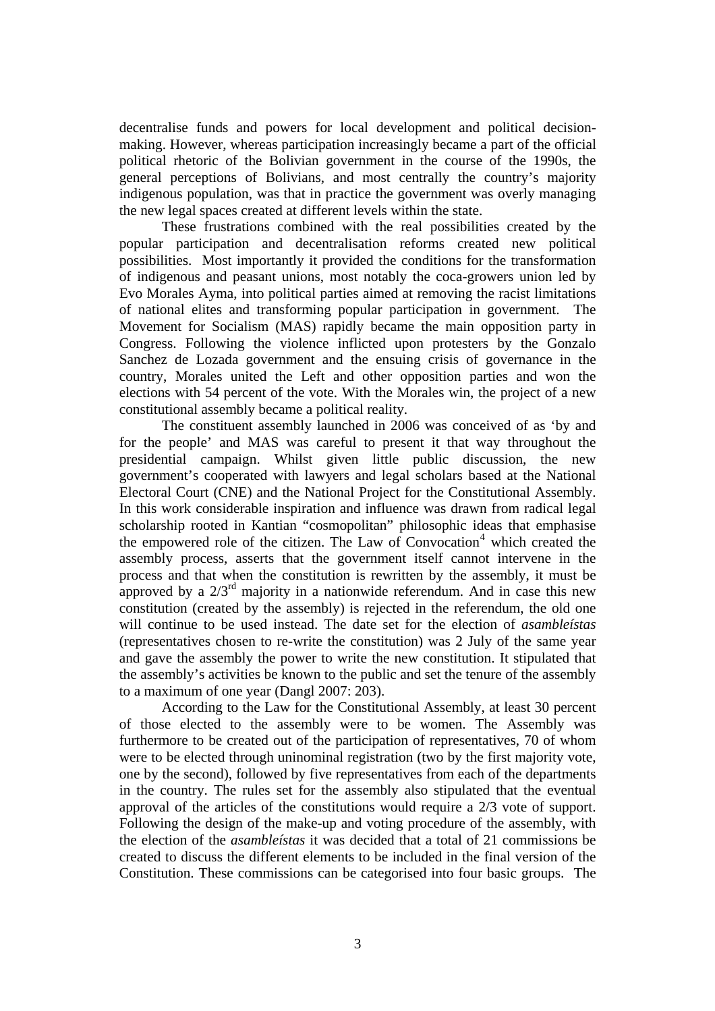decentralise funds and powers for local development and political decisionmaking. However, whereas participation increasingly became a part of the official political rhetoric of the Bolivian government in the course of the 1990s, the general perceptions of Bolivians, and most centrally the country's majority indigenous population, was that in practice the government was overly managing the new legal spaces created at different levels within the state.

These frustrations combined with the real possibilities created by the popular participation and decentralisation reforms created new political possibilities. Most importantly it provided the conditions for the transformation of indigenous and peasant unions, most notably the coca-growers union led by Evo Morales Ayma, into political parties aimed at removing the racist limitations of national elites and transforming popular participation in government. The Movement for Socialism (MAS) rapidly became the main opposition party in Congress. Following the violence inflicted upon protesters by the Gonzalo Sanchez de Lozada government and the ensuing crisis of governance in the country, Morales united the Left and other opposition parties and won the elections with 54 percent of the vote. With the Morales win, the project of a new constitutional assembly became a political reality.

The constituent assembly launched in 2006 was conceived of as 'by and for the people' and MAS was careful to present it that way throughout the presidential campaign. Whilst given little public discussion, the new government's cooperated with lawyers and legal scholars based at the National Electoral Court (CNE) and the National Project for the Constitutional Assembly. In this work considerable inspiration and influence was drawn from radical legal scholarship rooted in Kantian "cosmopolitan" philosophic ideas that emphasise the empowered role of the citizen. The Law of Convocation<sup>[4](#page-27-1)</sup> which created the assembly process, asserts that the government itself cannot intervene in the process and that when the constitution is rewritten by the assembly, it must be approved by a  $2/3<sup>rd</sup>$  majority in a nationwide referendum. And in case this new constitution (created by the assembly) is rejected in the referendum, the old one will continue to be used instead. The date set for the election of *asambleístas* (representatives chosen to re-write the constitution) was 2 July of the same year and gave the assembly the power to write the new constitution. It stipulated that the assembly's activities be known to the public and set the tenure of the assembly to a maximum of one year (Dangl 2007: 203).

According to the Law for the Constitutional Assembly, at least 30 percent of those elected to the assembly were to be women. The Assembly was furthermore to be created out of the participation of representatives, 70 of whom were to be elected through uninominal registration (two by the first majority vote, one by the second), followed by five representatives from each of the departments in the country. The rules set for the assembly also stipulated that the eventual approval of the articles of the constitutions would require a 2/3 vote of support. Following the design of the make-up and voting procedure of the assembly, with the election of the *asambleístas* it was decided that a total of 21 commissions be created to discuss the different elements to be included in the final version of the Constitution. These commissions can be categorised into four basic groups. The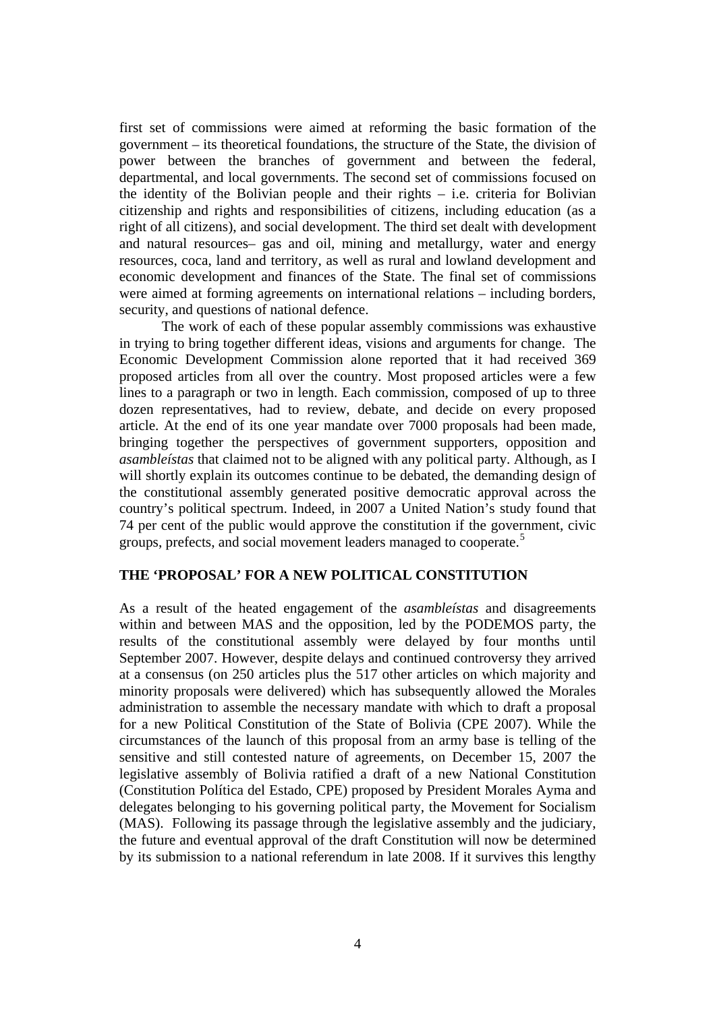first set of commissions were aimed at reforming the basic formation of the government – its theoretical foundations, the structure of the State, the division of power between the branches of government and between the federal, departmental, and local governments. The second set of commissions focused on the identity of the Bolivian people and their rights – i.e. criteria for Bolivian citizenship and rights and responsibilities of citizens, including education (as a right of all citizens), and social development. The third set dealt with development and natural resources– gas and oil, mining and metallurgy, water and energy resources, coca, land and territory, as well as rural and lowland development and economic development and finances of the State. The final set of commissions were aimed at forming agreements on international relations – including borders, security, and questions of national defence.

The work of each of these popular assembly commissions was exhaustive in trying to bring together different ideas, visions and arguments for change. The Economic Development Commission alone reported that it had received 369 proposed articles from all over the country. Most proposed articles were a few lines to a paragraph or two in length. Each commission, composed of up to three dozen representatives, had to review, debate, and decide on every proposed article. At the end of its one year mandate over 7000 proposals had been made, bringing together the perspectives of government supporters, opposition and *asambleístas* that claimed not to be aligned with any political party. Although, as I will shortly explain its outcomes continue to be debated, the demanding design of the constitutional assembly generated positive democratic approval across the country's political spectrum. Indeed, in 2007 a United Nation's study found that 74 per cent of the public would approve the constitution if the government, civic groups, prefects, and social movement leaders managed to cooperate.<sup>[5](#page-27-1)</sup>

### **THE 'PROPOSAL' FOR A NEW POLITICAL CONSTITUTION**

As a result of the heated engagement of the *asambleístas* and disagreements within and between MAS and the opposition, led by the PODEMOS party, the results of the constitutional assembly were delayed by four months until September 2007. However, despite delays and continued controversy they arrived at a consensus (on 250 articles plus the 517 other articles on which majority and minority proposals were delivered) which has subsequently allowed the Morales administration to assemble the necessary mandate with which to draft a proposal for a new Political Constitution of the State of Bolivia (CPE 2007). While the circumstances of the launch of this proposal from an army base is telling of the sensitive and still contested nature of agreements, on December 15, 2007 the legislative assembly of Bolivia ratified a draft of a new National Constitution (Constitution Política del Estado, CPE) proposed by President Morales Ayma and delegates belonging to his governing political party, the Movement for Socialism (MAS). Following its passage through the legislative assembly and the judiciary, the future and eventual approval of the draft Constitution will now be determined by its submission to a national referendum in late 2008. If it survives this lengthy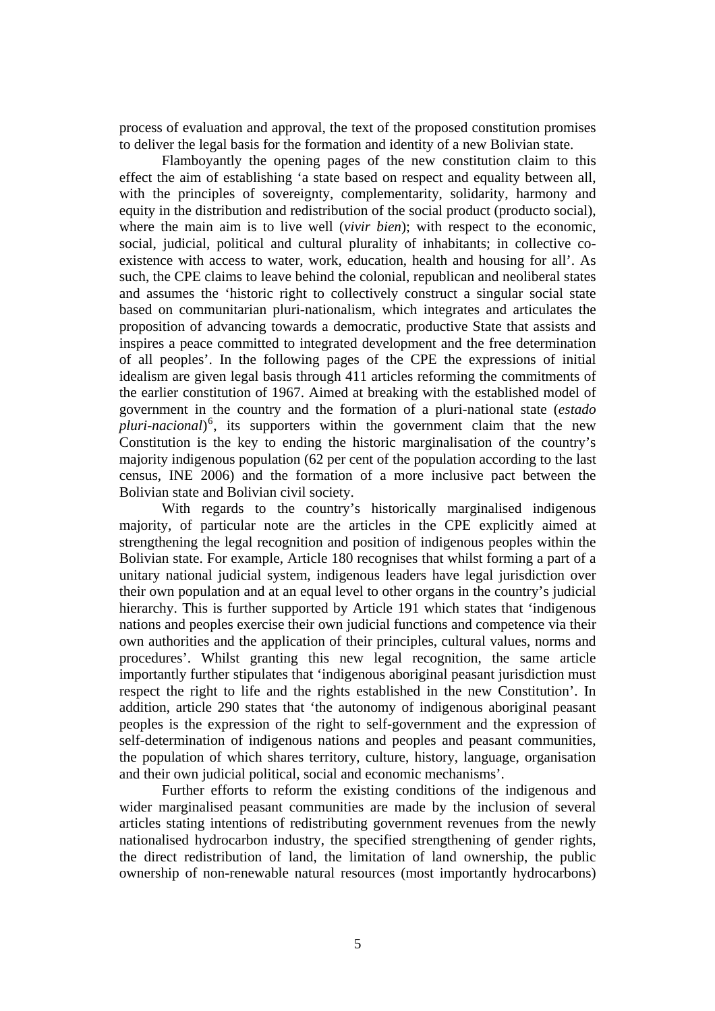process of evaluation and approval, the text of the proposed constitution promises to deliver the legal basis for the formation and identity of a new Bolivian state.

Flamboyantly the opening pages of the new constitution claim to this effect the aim of establishing 'a state based on respect and equality between all, with the principles of sovereignty, complementarity, solidarity, harmony and equity in the distribution and redistribution of the social product (producto social), where the main aim is to live well (*vivir bien*); with respect to the economic, social, judicial, political and cultural plurality of inhabitants; in collective coexistence with access to water, work, education, health and housing for all'. As such, the CPE claims to leave behind the colonial, republican and neoliberal states and assumes the 'historic right to collectively construct a singular social state based on communitarian pluri-nationalism, which integrates and articulates the proposition of advancing towards a democratic, productive State that assists and inspires a peace committed to integrated development and the free determination of all peoples'. In the following pages of the CPE the expressions of initial idealism are given legal basis through 411 articles reforming the commitments of the earlier constitution of 1967. Aimed at breaking with the established model of government in the country and the formation of a pluri-national state (*estado pluri-nacional*) [6](#page-27-1) , its supporters within the government claim that the new Constitution is the key to ending the historic marginalisation of the country's majority indigenous population (62 per cent of the population according to the last census, INE 2006) and the formation of a more inclusive pact between the Bolivian state and Bolivian civil society.

With regards to the country's historically marginalised indigenous majority, of particular note are the articles in the CPE explicitly aimed at strengthening the legal recognition and position of indigenous peoples within the Bolivian state. For example, Article 180 recognises that whilst forming a part of a unitary national judicial system, indigenous leaders have legal jurisdiction over their own population and at an equal level to other organs in the country's judicial hierarchy. This is further supported by Article 191 which states that 'indigenous nations and peoples exercise their own judicial functions and competence via their own authorities and the application of their principles, cultural values, norms and procedures'. Whilst granting this new legal recognition, the same article importantly further stipulates that 'indigenous aboriginal peasant jurisdiction must respect the right to life and the rights established in the new Constitution'. In addition, article 290 states that 'the autonomy of indigenous aboriginal peasant peoples is the expression of the right to self-government and the expression of self-determination of indigenous nations and peoples and peasant communities, the population of which shares territory, culture, history, language, organisation and their own judicial political, social and economic mechanisms'.

Further efforts to reform the existing conditions of the indigenous and wider marginalised peasant communities are made by the inclusion of several articles stating intentions of redistributing government revenues from the newly nationalised hydrocarbon industry, the specified strengthening of gender rights, the direct redistribution of land, the limitation of land ownership, the public ownership of non-renewable natural resources (most importantly hydrocarbons)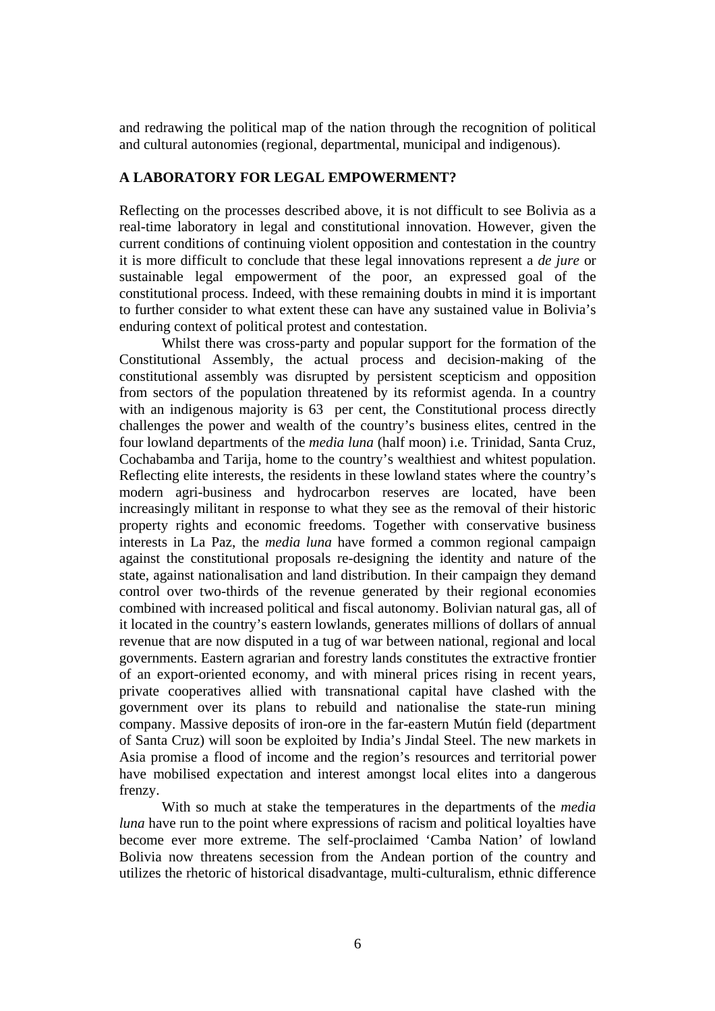and redrawing the political map of the nation through the recognition of political and cultural autonomies (regional, departmental, municipal and indigenous).

## **A LABORATORY FOR LEGAL EMPOWERMENT?**

Reflecting on the processes described above, it is not difficult to see Bolivia as a real-time laboratory in legal and constitutional innovation. However, given the current conditions of continuing violent opposition and contestation in the country it is more difficult to conclude that these legal innovations represent a *de jure* or sustainable legal empowerment of the poor, an expressed goal of the constitutional process. Indeed, with these remaining doubts in mind it is important to further consider to what extent these can have any sustained value in Bolivia's enduring context of political protest and contestation.

Whilst there was cross-party and popular support for the formation of the Constitutional Assembly, the actual process and decision-making of the constitutional assembly was disrupted by persistent scepticism and opposition from sectors of the population threatened by its reformist agenda. In a country with an indigenous majority is 63 per cent, the Constitutional process directly challenges the power and wealth of the country's business elites, centred in the four lowland departments of the *media luna* (half moon) i.e. Trinidad, Santa Cruz, Cochabamba and Tarija, home to the country's wealthiest and whitest population. Reflecting elite interests, the residents in these lowland states where the country's modern agri-business and hydrocarbon reserves are located, have been increasingly militant in response to what they see as the removal of their historic property rights and economic freedoms. Together with conservative business interests in La Paz, the *media luna* have formed a common regional campaign against the constitutional proposals re-designing the identity and nature of the state, against nationalisation and land distribution. In their campaign they demand control over two-thirds of the revenue generated by their regional economies combined with increased political and fiscal autonomy. Bolivian natural gas, all of it located in the country's eastern lowlands, generates millions of dollars of annual revenue that are now disputed in a tug of war between national, regional and local governments. Eastern agrarian and forestry lands constitutes the extractive frontier of an export-oriented economy, and with mineral prices rising in recent years, private cooperatives allied with transnational capital have clashed with the government over its plans to rebuild and nationalise the state-run mining company. Massive deposits of iron-ore in the far-eastern Mutún field (department of Santa Cruz) will soon be exploited by India's Jindal Steel. The new markets in Asia promise a flood of income and the region's resources and territorial power have mobilised expectation and interest amongst local elites into a dangerous frenzy.

With so much at stake the temperatures in the departments of the *media luna* have run to the point where expressions of racism and political loyalties have become ever more extreme. The self-proclaimed 'Camba Nation' of lowland Bolivia now threatens secession from the Andean portion of the country and utilizes the rhetoric of historical disadvantage, multi-culturalism, ethnic difference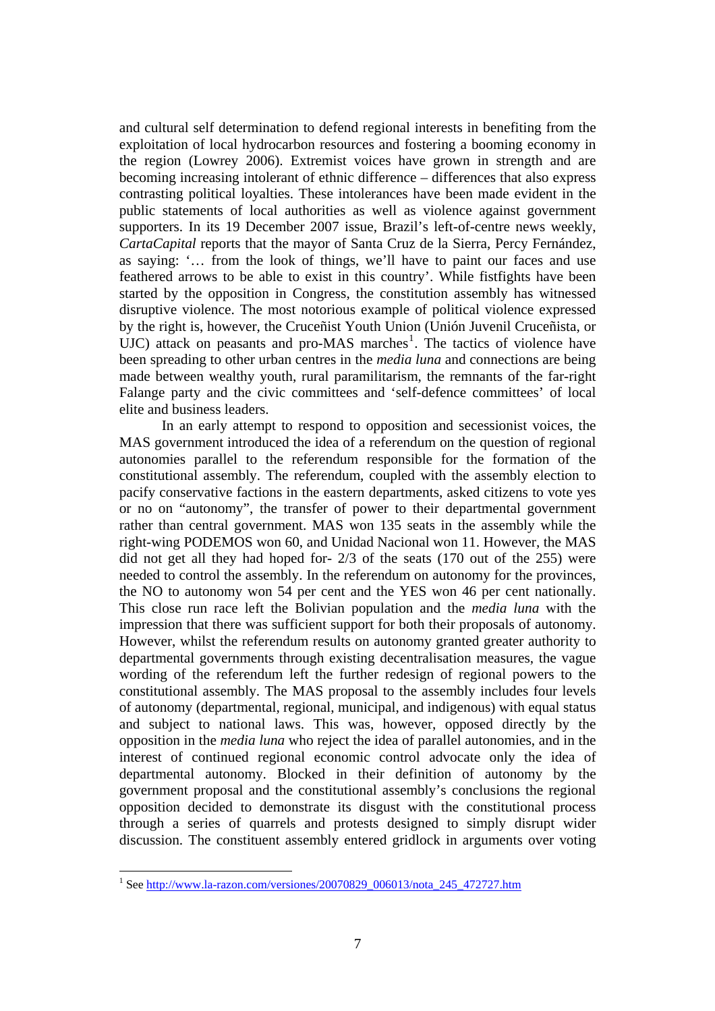and cultural self determination to defend regional interests in benefiting from the exploitation of local hydrocarbon resources and fostering a booming economy in the region (Lowrey 2006). Extremist voices have grown in strength and are becoming increasing intolerant of ethnic difference – differences that also express contrasting political loyalties. These intolerances have been made evident in the public statements of local authorities as well as violence against government supporters. In its 19 December 2007 issue, Brazil's left-of-centre news weekly, *CartaCapital* reports that the mayor of Santa Cruz de la Sierra, Percy Fernández, as saying: '… from the look of things, we'll have to paint our faces and use feathered arrows to be able to exist in this country'. While fistfights have been started by the opposition in Congress, the constitution assembly has witnessed disruptive violence. The most notorious example of political violence expressed by the right is, however, the Cruceñist Youth Union (Unión Juvenil Cruceñista, or  $UJC$ ) attack on peasants and pro-MAS marches<sup>[1](#page-6-0)</sup>. The tactics of violence have been spreading to other urban centres in the *media luna* and connections are being made between wealthy youth, rural paramilitarism, the remnants of the far-right Falange party and the civic committees and 'self-defence committees' of local elite and business leaders.

In an early attempt to respond to opposition and secessionist voices, the MAS government introduced the idea of a referendum on the question of regional autonomies parallel to the referendum responsible for the formation of the constitutional assembly. The referendum, coupled with the assembly election to pacify conservative factions in the eastern departments, asked citizens to vote yes or no on "autonomy", the transfer of power to their departmental government rather than central government. MAS won 135 seats in the assembly while the right-wing PODEMOS won 60, and Unidad Nacional won 11. However, the MAS did not get all they had hoped for- 2/3 of the seats (170 out of the 255) were needed to control the assembly. In the referendum on autonomy for the provinces, the NO to autonomy won 54 per cent and the YES won 46 per cent nationally. This close run race left the Bolivian population and the *media luna* with the impression that there was sufficient support for both their proposals of autonomy. However, whilst the referendum results on autonomy granted greater authority to departmental governments through existing decentralisation measures, the vague wording of the referendum left the further redesign of regional powers to the constitutional assembly. The MAS proposal to the assembly includes four levels of autonomy (departmental, regional, municipal, and indigenous) with equal status and subject to national laws. This was, however, opposed directly by the opposition in the *media luna* who reject the idea of parallel autonomies, and in the interest of continued regional economic control advocate only the idea of departmental autonomy. Blocked in their definition of autonomy by the government proposal and the constitutional assembly's conclusions the regional opposition decided to demonstrate its disgust with the constitutional process through a series of quarrels and protests designed to simply disrupt wider discussion. The constituent assembly entered gridlock in arguments over voting

 $\overline{a}$ 

<span id="page-6-0"></span><sup>&</sup>lt;sup>1</sup> See http://www.la-razon.com/versiones/20070829\_006013/nota\_245\_472727.htm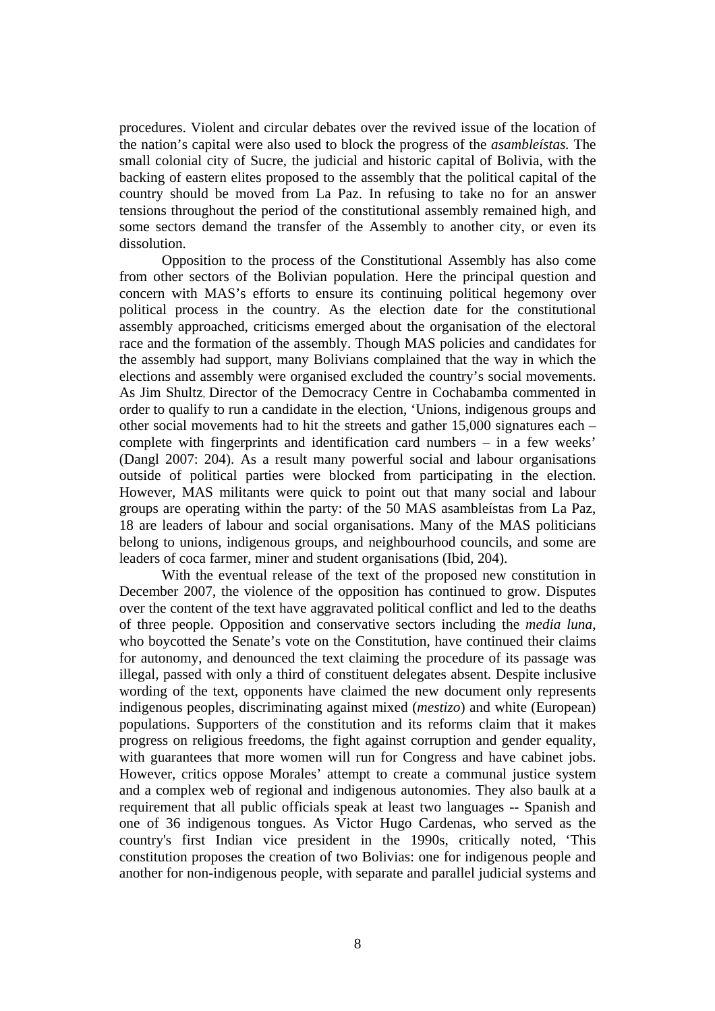procedures. Violent and circular debates over the revived issue of the location of the nation's capital were also used to block the progress of the *asambleístas.* The small colonial city of Sucre, the judicial and historic capital of Bolivia, with the backing of eastern elites proposed to the assembly that the political capital of the country should be moved from La Paz. In refusing to take no for an answer tensions throughout the period of the constitutional assembly remained high, and some sectors demand the transfer of the Assembly to another city, or even its dissolution.

Opposition to the process of the Constitutional Assembly has also come from other sectors of the Bolivian population. Here the principal question and concern with MAS's efforts to ensure its continuing political hegemony over political process in the country. As the election date for the constitutional assembly approached, criticisms emerged about the organisation of the electoral race and the formation of the assembly. Though MAS policies and candidates for the assembly had support, many Bolivians complained that the way in which the elections and assembly were organised excluded the country's social movements. As Jim Shultz, Director of the Democracy Centre in Cochabamba commented in order to qualify to run a candidate in the election, 'Unions, indigenous groups and other social movements had to hit the streets and gather 15,000 signatures each – complete with fingerprints and identification card numbers – in a few weeks' (Dangl 2007: 204). As a result many powerful social and labour organisations outside of political parties were blocked from participating in the election. However, MAS militants were quick to point out that many social and labour groups are operating within the party: of the 50 MAS asambleístas from La Paz, 18 are leaders of labour and social organisations. Many of the MAS politicians belong to unions, indigenous groups, and neighbourhood councils, and some are leaders of coca farmer, miner and student organisations (Ibid, 204).

With the eventual release of the text of the proposed new constitution in December 2007, the violence of the opposition has continued to grow. Disputes over the content of the text have aggravated political conflict and led to the deaths of three people. Opposition and conservative sectors including the *media luna*, who boycotted the Senate's vote on the Constitution, have continued their claims for autonomy, and denounced the text claiming the procedure of its passage was illegal, passed with only a third of constituent delegates absent. Despite inclusive wording of the text, opponents have claimed the new document only represents indigenous peoples, discriminating against mixed (*mestizo*) and white (European) populations. Supporters of the constitution and its reforms claim that it makes progress on religious freedoms, the fight against corruption and gender equality, with guarantees that more women will run for Congress and have cabinet jobs. However, critics oppose Morales' attempt to create a communal justice system and a complex web of regional and indigenous autonomies. They also baulk at a requirement that all public officials speak at least two languages -- Spanish and one of 36 indigenous tongues. As Victor Hugo Cardenas, who served as the country's first Indian vice president in the 1990s, critically noted, 'This constitution proposes the creation of two Bolivias: one for indigenous people and another for non-indigenous people, with separate and parallel judicial systems and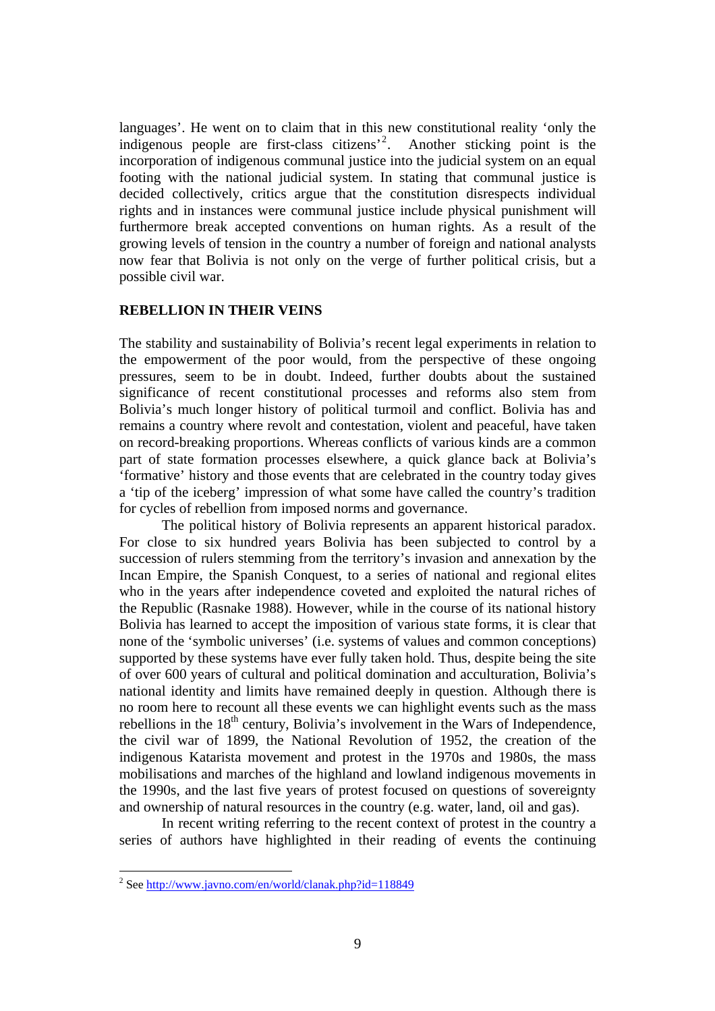languages'. He went on to claim that in this new constitutional reality 'only the indigenous people are first-class citizens'[2](#page-8-0) . Another sticking point is the incorporation of indigenous communal justice into the judicial system on an equal footing with the national judicial system. In stating that communal justice is decided collectively, critics argue that the constitution disrespects individual rights and in instances were communal justice include physical punishment will furthermore break accepted conventions on human rights. As a result of the growing levels of tension in the country a number of foreign and national analysts now fear that Bolivia is not only on the verge of further political crisis, but a possible civil war.

## **REBELLION IN THEIR VEINS**

The stability and sustainability of Bolivia's recent legal experiments in relation to the empowerment of the poor would, from the perspective of these ongoing pressures, seem to be in doubt. Indeed, further doubts about the sustained significance of recent constitutional processes and reforms also stem from Bolivia's much longer history of political turmoil and conflict. Bolivia has and remains a country where revolt and contestation, violent and peaceful, have taken on record-breaking proportions. Whereas conflicts of various kinds are a common part of state formation processes elsewhere, a quick glance back at Bolivia's 'formative' history and those events that are celebrated in the country today gives a 'tip of the iceberg' impression of what some have called the country's tradition for cycles of rebellion from imposed norms and governance.

The political history of Bolivia represents an apparent historical paradox. For close to six hundred years Bolivia has been subjected to control by a succession of rulers stemming from the territory's invasion and annexation by the Incan Empire, the Spanish Conquest, to a series of national and regional elites who in the years after independence coveted and exploited the natural riches of the Republic (Rasnake 1988). However, while in the course of its national history Bolivia has learned to accept the imposition of various state forms, it is clear that none of the 'symbolic universes' (i.e. systems of values and common conceptions) supported by these systems have ever fully taken hold. Thus, despite being the site of over 600 years of cultural and political domination and acculturation, Bolivia's national identity and limits have remained deeply in question. Although there is no room here to recount all these events we can highlight events such as the mass rebellions in the  $18<sup>th</sup>$  century, Bolivia's involvement in the Wars of Independence, the civil war of 1899, the National Revolution of 1952, the creation of the indigenous Katarista movement and protest in the 1970s and 1980s, the mass mobilisations and marches of the highland and lowland indigenous movements in the 1990s, and the last five years of protest focused on questions of sovereignty and ownership of natural resources in the country (e.g. water, land, oil and gas).

In recent writing referring to the recent context of protest in the country a series of authors have highlighted in their reading of events the continuing

<span id="page-8-0"></span><sup>&</sup>lt;sup>2</sup> See <http://www.javno.com/en/world/clanak.php?id=118849>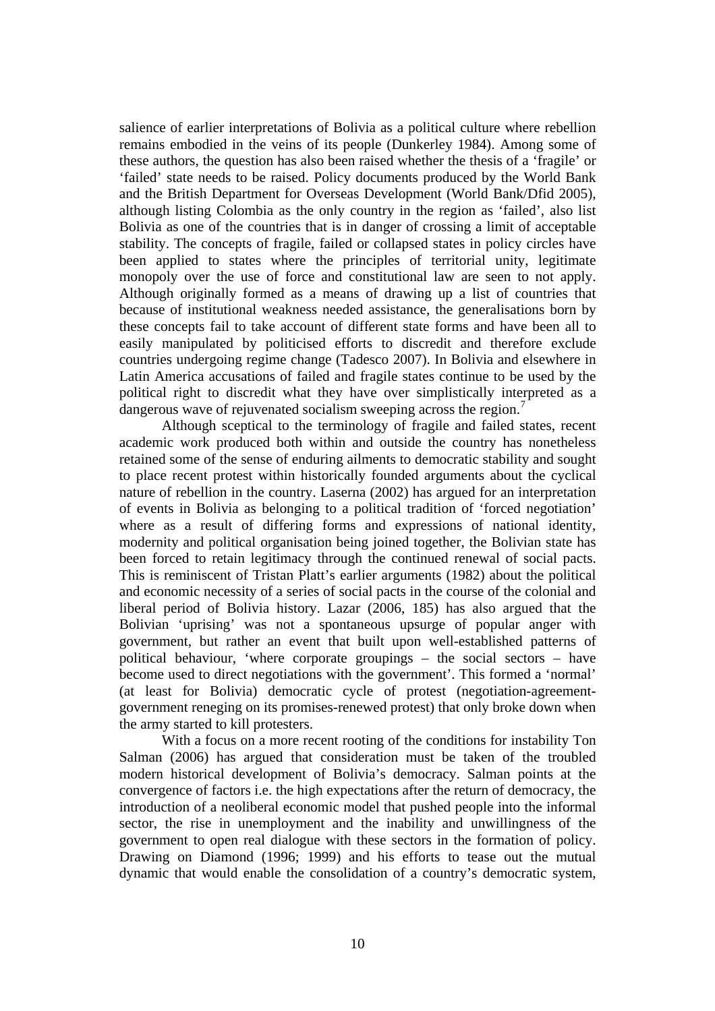salience of earlier interpretations of Bolivia as a political culture where rebellion remains embodied in the veins of its people (Dunkerley 1984). Among some of these authors, the question has also been raised whether the thesis of a 'fragile' or 'failed' state needs to be raised. Policy documents produced by the World Bank and the British Department for Overseas Development (World Bank/Dfid 2005), although listing Colombia as the only country in the region as 'failed', also list Bolivia as one of the countries that is in danger of crossing a limit of acceptable stability. The concepts of fragile, failed or collapsed states in policy circles have been applied to states where the principles of territorial unity, legitimate monopoly over the use of force and constitutional law are seen to not apply. Although originally formed as a means of drawing up a list of countries that because of institutional weakness needed assistance, the generalisations born by these concepts fail to take account of different state forms and have been all to easily manipulated by politicised efforts to discredit and therefore exclude countries undergoing regime change (Tadesco 2007). In Bolivia and elsewhere in Latin America accusations of failed and fragile states continue to be used by the political right to discredit what they have over simplistically interpreted as a dangerous wave of rejuvenated socialism sweeping across the region.<sup>[7](#page-27-1)</sup>

Although sceptical to the terminology of fragile and failed states, recent academic work produced both within and outside the country has nonetheless retained some of the sense of enduring ailments to democratic stability and sought to place recent protest within historically founded arguments about the cyclical nature of rebellion in the country. Laserna (2002) has argued for an interpretation of events in Bolivia as belonging to a political tradition of 'forced negotiation' where as a result of differing forms and expressions of national identity, modernity and political organisation being joined together, the Bolivian state has been forced to retain legitimacy through the continued renewal of social pacts. This is reminiscent of Tristan Platt's earlier arguments (1982) about the political and economic necessity of a series of social pacts in the course of the colonial and liberal period of Bolivia history. Lazar (2006, 185) has also argued that the Bolivian 'uprising' was not a spontaneous upsurge of popular anger with government, but rather an event that built upon well-established patterns of political behaviour, 'where corporate groupings – the social sectors – have become used to direct negotiations with the government'. This formed a 'normal' (at least for Bolivia) democratic cycle of protest (negotiation-agreementgovernment reneging on its promises-renewed protest) that only broke down when the army started to kill protesters.

With a focus on a more recent rooting of the conditions for instability Ton Salman (2006) has argued that consideration must be taken of the troubled modern historical development of Bolivia's democracy. Salman points at the convergence of factors i.e. the high expectations after the return of democracy, the introduction of a neoliberal economic model that pushed people into the informal sector, the rise in unemployment and the inability and unwillingness of the government to open real dialogue with these sectors in the formation of policy. Drawing on Diamond (1996; 1999) and his efforts to tease out the mutual dynamic that would enable the consolidation of a country's democratic system,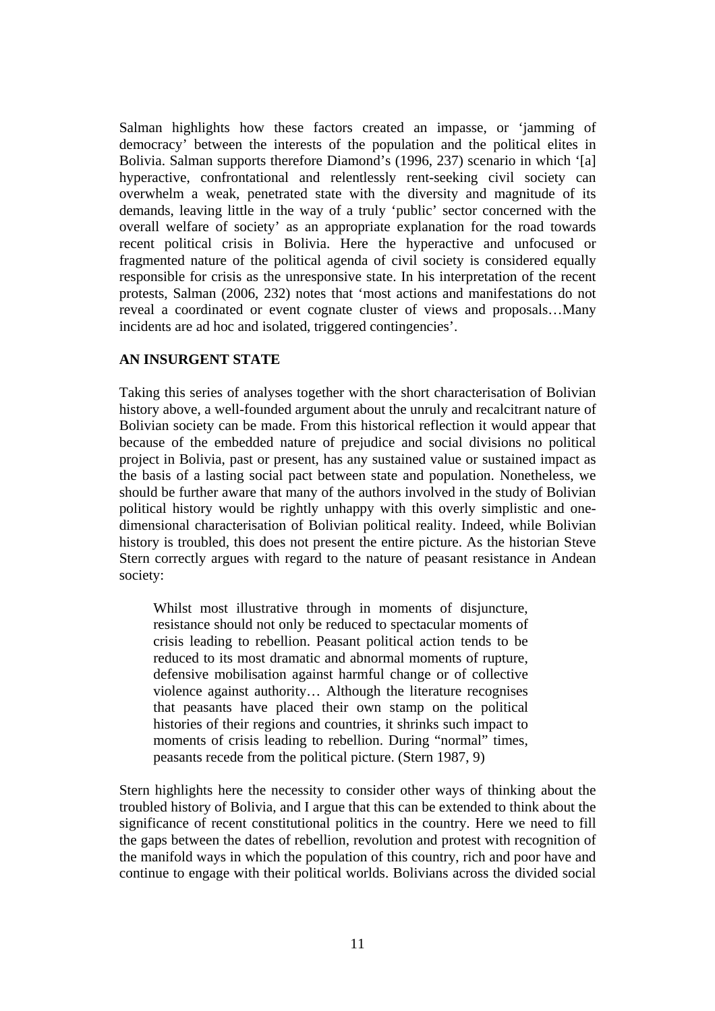Salman highlights how these factors created an impasse, or 'jamming of democracy' between the interests of the population and the political elites in Bolivia. Salman supports therefore Diamond's (1996, 237) scenario in which '[a] hyperactive, confrontational and relentlessly rent-seeking civil society can overwhelm a weak, penetrated state with the diversity and magnitude of its demands, leaving little in the way of a truly 'public' sector concerned with the overall welfare of society' as an appropriate explanation for the road towards recent political crisis in Bolivia. Here the hyperactive and unfocused or fragmented nature of the political agenda of civil society is considered equally responsible for crisis as the unresponsive state. In his interpretation of the recent protests, Salman (2006, 232) notes that 'most actions and manifestations do not reveal a coordinated or event cognate cluster of views and proposals…Many incidents are ad hoc and isolated, triggered contingencies'.

# **AN INSURGENT STATE**

Taking this series of analyses together with the short characterisation of Bolivian history above, a well-founded argument about the unruly and recalcitrant nature of Bolivian society can be made. From this historical reflection it would appear that because of the embedded nature of prejudice and social divisions no political project in Bolivia, past or present, has any sustained value or sustained impact as the basis of a lasting social pact between state and population. Nonetheless, we should be further aware that many of the authors involved in the study of Bolivian political history would be rightly unhappy with this overly simplistic and onedimensional characterisation of Bolivian political reality. Indeed, while Bolivian history is troubled, this does not present the entire picture. As the historian Steve Stern correctly argues with regard to the nature of peasant resistance in Andean society:

Whilst most illustrative through in moments of disjuncture, resistance should not only be reduced to spectacular moments of crisis leading to rebellion. Peasant political action tends to be reduced to its most dramatic and abnormal moments of rupture, defensive mobilisation against harmful change or of collective violence against authority… Although the literature recognises that peasants have placed their own stamp on the political histories of their regions and countries, it shrinks such impact to moments of crisis leading to rebellion. During "normal" times, peasants recede from the political picture. (Stern 1987, 9)

Stern highlights here the necessity to consider other ways of thinking about the troubled history of Bolivia, and I argue that this can be extended to think about the significance of recent constitutional politics in the country. Here we need to fill the gaps between the dates of rebellion, revolution and protest with recognition of the manifold ways in which the population of this country, rich and poor have and continue to engage with their political worlds. Bolivians across the divided social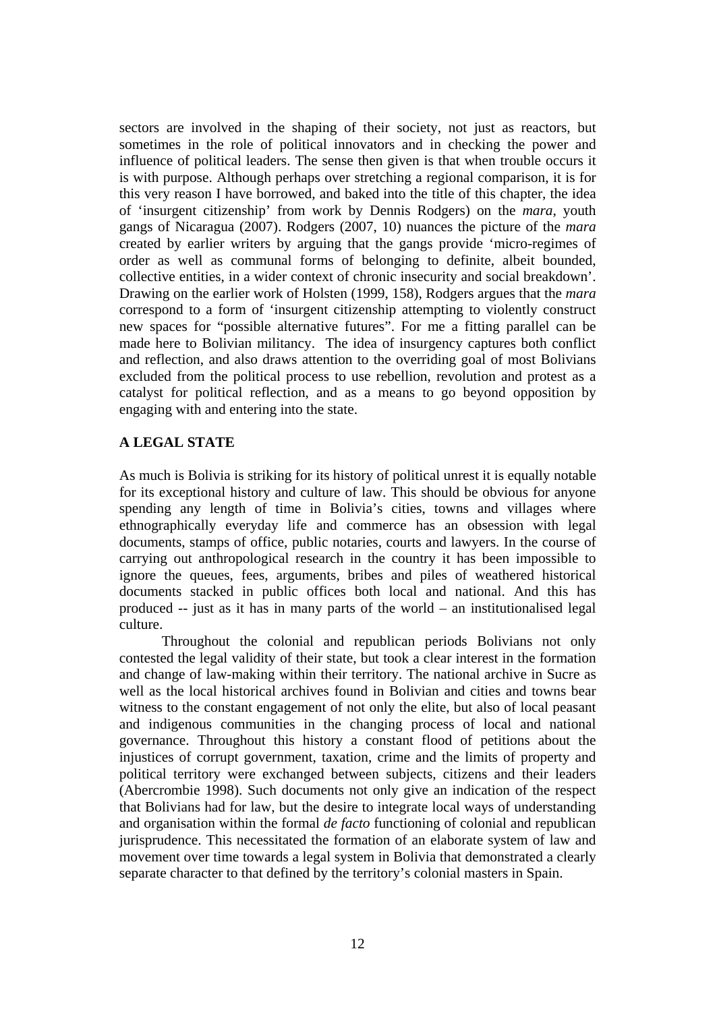sectors are involved in the shaping of their society, not just as reactors, but sometimes in the role of political innovators and in checking the power and influence of political leaders. The sense then given is that when trouble occurs it is with purpose. Although perhaps over stretching a regional comparison, it is for this very reason I have borrowed, and baked into the title of this chapter, the idea of 'insurgent citizenship' from work by Dennis Rodgers) on the *mara*, youth gangs of Nicaragua (2007). Rodgers (2007, 10) nuances the picture of the *mara* created by earlier writers by arguing that the gangs provide 'micro-regimes of order as well as communal forms of belonging to definite, albeit bounded, collective entities, in a wider context of chronic insecurity and social breakdown'. Drawing on the earlier work of Holsten (1999, 158), Rodgers argues that the *mara* correspond to a form of 'insurgent citizenship attempting to violently construct new spaces for "possible alternative futures". For me a fitting parallel can be made here to Bolivian militancy. The idea of insurgency captures both conflict and reflection, and also draws attention to the overriding goal of most Bolivians excluded from the political process to use rebellion, revolution and protest as a catalyst for political reflection, and as a means to go beyond opposition by engaging with and entering into the state.

# **A LEGAL STATE**

As much is Bolivia is striking for its history of political unrest it is equally notable for its exceptional history and culture of law. This should be obvious for anyone spending any length of time in Bolivia's cities, towns and villages where ethnographically everyday life and commerce has an obsession with legal documents, stamps of office, public notaries, courts and lawyers. In the course of carrying out anthropological research in the country it has been impossible to ignore the queues, fees, arguments, bribes and piles of weathered historical documents stacked in public offices both local and national. And this has produced -- just as it has in many parts of the world – an institutionalised legal culture.

Throughout the colonial and republican periods Bolivians not only contested the legal validity of their state, but took a clear interest in the formation and change of law-making within their territory. The national archive in Sucre as well as the local historical archives found in Bolivian and cities and towns bear witness to the constant engagement of not only the elite, but also of local peasant and indigenous communities in the changing process of local and national governance. Throughout this history a constant flood of petitions about the injustices of corrupt government, taxation, crime and the limits of property and political territory were exchanged between subjects, citizens and their leaders (Abercrombie 1998). Such documents not only give an indication of the respect that Bolivians had for law, but the desire to integrate local ways of understanding and organisation within the formal *de facto* functioning of colonial and republican jurisprudence. This necessitated the formation of an elaborate system of law and movement over time towards a legal system in Bolivia that demonstrated a clearly separate character to that defined by the territory's colonial masters in Spain.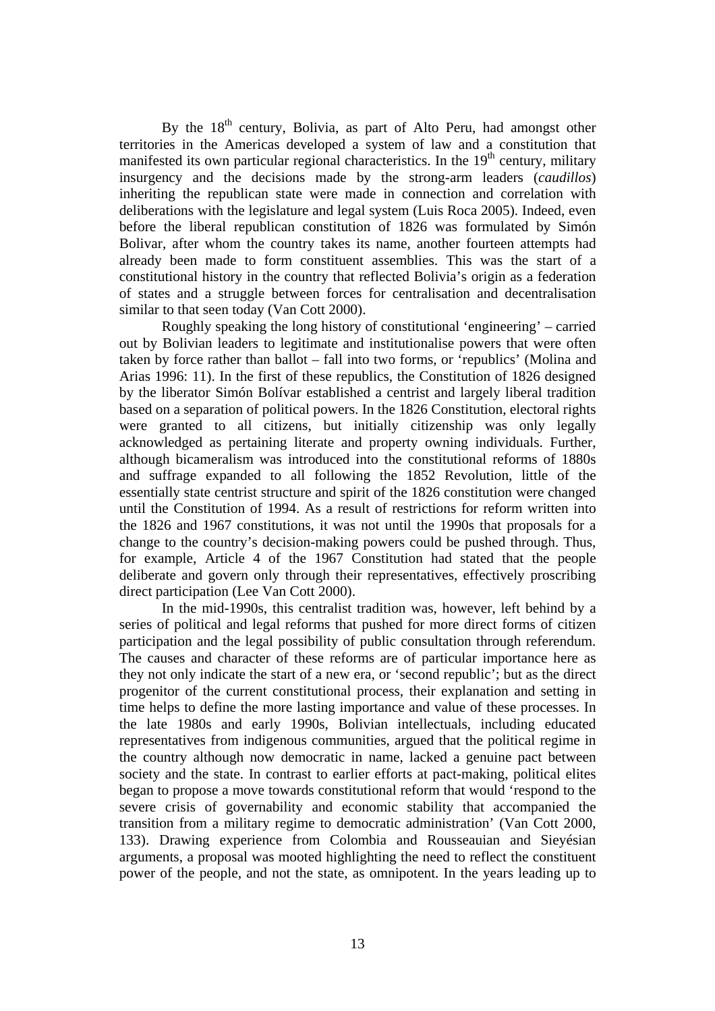By the  $18<sup>th</sup>$  century, Bolivia, as part of Alto Peru, had amongst other territories in the Americas developed a system of law and a constitution that manifested its own particular regional characteristics. In the  $19<sup>th</sup>$  century, military insurgency and the decisions made by the strong-arm leaders (*caudillos*) inheriting the republican state were made in connection and correlation with deliberations with the legislature and legal system (Luis Roca 2005). Indeed, even before the liberal republican constitution of 1826 was formulated by Simón Bolivar, after whom the country takes its name, another fourteen attempts had already been made to form constituent assemblies. This was the start of a constitutional history in the country that reflected Bolivia's origin as a federation of states and a struggle between forces for centralisation and decentralisation similar to that seen today (Van Cott 2000).

Roughly speaking the long history of constitutional 'engineering' – carried out by Bolivian leaders to legitimate and institutionalise powers that were often taken by force rather than ballot – fall into two forms, or 'republics' (Molina and Arias 1996: 11). In the first of these republics, the Constitution of 1826 designed by the liberator Simón Bolívar established a centrist and largely liberal tradition based on a separation of political powers. In the 1826 Constitution, electoral rights were granted to all citizens, but initially citizenship was only legally acknowledged as pertaining literate and property owning individuals. Further, although bicameralism was introduced into the constitutional reforms of 1880s and suffrage expanded to all following the 1852 Revolution, little of the essentially state centrist structure and spirit of the 1826 constitution were changed until the Constitution of 1994. As a result of restrictions for reform written into the 1826 and 1967 constitutions, it was not until the 1990s that proposals for a change to the country's decision-making powers could be pushed through. Thus, for example, Article 4 of the 1967 Constitution had stated that the people deliberate and govern only through their representatives, effectively proscribing direct participation (Lee Van Cott 2000).

In the mid-1990s, this centralist tradition was, however, left behind by a series of political and legal reforms that pushed for more direct forms of citizen participation and the legal possibility of public consultation through referendum. The causes and character of these reforms are of particular importance here as they not only indicate the start of a new era, or 'second republic'; but as the direct progenitor of the current constitutional process, their explanation and setting in time helps to define the more lasting importance and value of these processes. In the late 1980s and early 1990s, Bolivian intellectuals, including educated representatives from indigenous communities, argued that the political regime in the country although now democratic in name, lacked a genuine pact between society and the state. In contrast to earlier efforts at pact-making, political elites began to propose a move towards constitutional reform that would 'respond to the severe crisis of governability and economic stability that accompanied the transition from a military regime to democratic administration' (Van Cott 2000, 133). Drawing experience from Colombia and Rousseauian and Sieyésian arguments, a proposal was mooted highlighting the need to reflect the constituent power of the people, and not the state, as omnipotent. In the years leading up to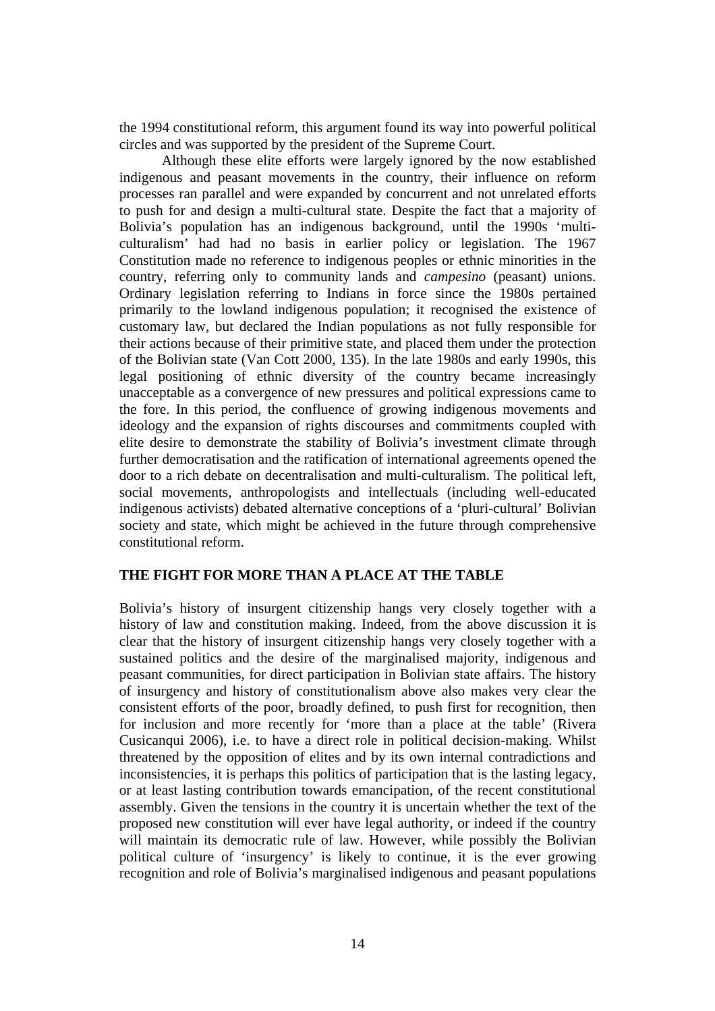the 1994 constitutional reform, this argument found its way into powerful political circles and was supported by the president of the Supreme Court.

Although these elite efforts were largely ignored by the now established indigenous and peasant movements in the country, their influence on reform processes ran parallel and were expanded by concurrent and not unrelated efforts to push for and design a multi-cultural state. Despite the fact that a majority of Bolivia's population has an indigenous background, until the 1990s 'multiculturalism' had had no basis in earlier policy or legislation. The 1967 Constitution made no reference to indigenous peoples or ethnic minorities in the country, referring only to community lands and *campesino* (peasant) unions. Ordinary legislation referring to Indians in force since the 1980s pertained primarily to the lowland indigenous population; it recognised the existence of customary law, but declared the Indian populations as not fully responsible for their actions because of their primitive state, and placed them under the protection of the Bolivian state (Van Cott 2000, 135). In the late 1980s and early 1990s, this legal positioning of ethnic diversity of the country became increasingly unacceptable as a convergence of new pressures and political expressions came to the fore. In this period, the confluence of growing indigenous movements and ideology and the expansion of rights discourses and commitments coupled with elite desire to demonstrate the stability of Bolivia's investment climate through further democratisation and the ratification of international agreements opened the door to a rich debate on decentralisation and multi-culturalism. The political left, social movements, anthropologists and intellectuals (including well-educated indigenous activists) debated alternative conceptions of a 'pluri-cultural' Bolivian society and state, which might be achieved in the future through comprehensive constitutional reform.

# **THE FIGHT FOR MORE THAN A PLACE AT THE TABLE**

Bolivia's history of insurgent citizenship hangs very closely together with a history of law and constitution making. Indeed, from the above discussion it is clear that the history of insurgent citizenship hangs very closely together with a sustained politics and the desire of the marginalised majority, indigenous and peasant communities, for direct participation in Bolivian state affairs. The history of insurgency and history of constitutionalism above also makes very clear the consistent efforts of the poor, broadly defined, to push first for recognition, then for inclusion and more recently for 'more than a place at the table' (Rivera Cusicanqui 2006), i.e. to have a direct role in political decision-making. Whilst threatened by the opposition of elites and by its own internal contradictions and inconsistencies, it is perhaps this politics of participation that is the lasting legacy, or at least lasting contribution towards emancipation, of the recent constitutional assembly. Given the tensions in the country it is uncertain whether the text of the proposed new constitution will ever have legal authority, or indeed if the country will maintain its democratic rule of law. However, while possibly the Bolivian political culture of 'insurgency' is likely to continue, it is the ever growing recognition and role of Bolivia's marginalised indigenous and peasant populations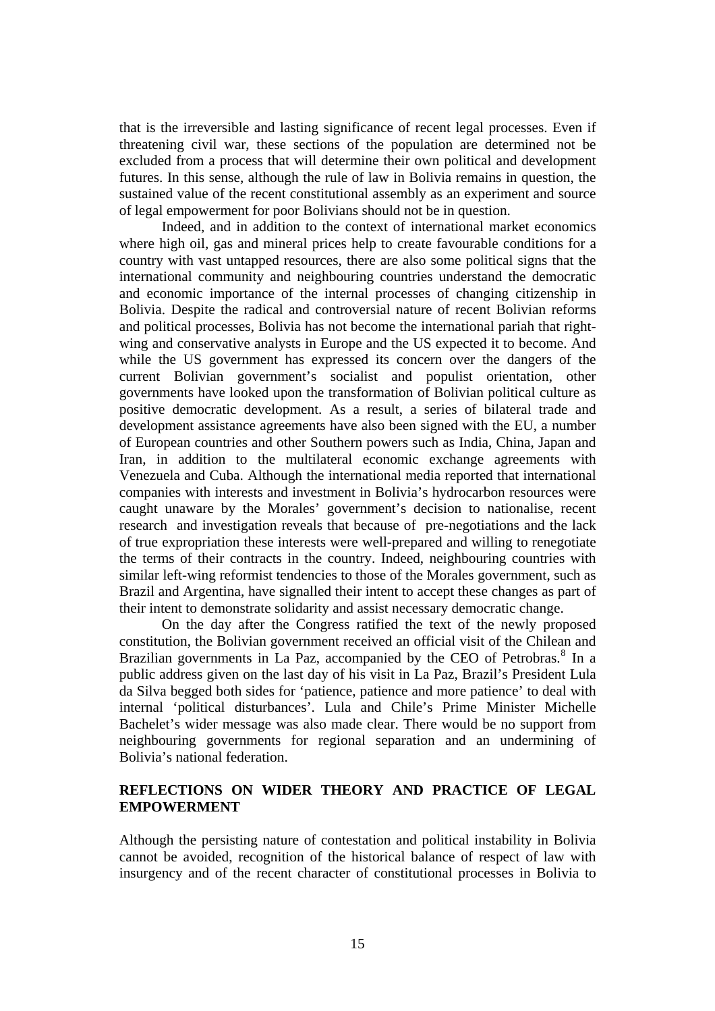that is the irreversible and lasting significance of recent legal processes. Even if threatening civil war, these sections of the population are determined not be excluded from a process that will determine their own political and development futures. In this sense, although the rule of law in Bolivia remains in question, the sustained value of the recent constitutional assembly as an experiment and source of legal empowerment for poor Bolivians should not be in question.

Indeed, and in addition to the context of international market economics where high oil, gas and mineral prices help to create favourable conditions for a country with vast untapped resources, there are also some political signs that the international community and neighbouring countries understand the democratic and economic importance of the internal processes of changing citizenship in Bolivia. Despite the radical and controversial nature of recent Bolivian reforms and political processes, Bolivia has not become the international pariah that rightwing and conservative analysts in Europe and the US expected it to become. And while the US government has expressed its concern over the dangers of the current Bolivian government's socialist and populist orientation, other governments have looked upon the transformation of Bolivian political culture as positive democratic development. As a result, a series of bilateral trade and development assistance agreements have also been signed with the EU, a number of European countries and other Southern powers such as India, China, Japan and Iran, in addition to the multilateral economic exchange agreements with Venezuela and Cuba. Although the international media reported that international companies with interests and investment in Bolivia's hydrocarbon resources were caught unaware by the Morales' government's decision to nationalise, recent research and investigation reveals that because of pre-negotiations and the lack of true expropriation these interests were well-prepared and willing to renegotiate the terms of their contracts in the country. Indeed, neighbouring countries with similar left-wing reformist tendencies to those of the Morales government, such as Brazil and Argentina, have signalled their intent to accept these changes as part of their intent to demonstrate solidarity and assist necessary democratic change.

On the day after the Congress ratified the text of the newly proposed constitution, the Bolivian government received an official visit of the Chilean and Brazilian governments in La Paz, accompanied by the CEO of Petrobras.<sup>[8](#page-27-1)</sup> In a public address given on the last day of his visit in La Paz, Brazil's President Lula da Silva begged both sides for 'patience, patience and more patience' to deal with internal 'political disturbances'. Lula and Chile's Prime Minister Michelle Bachelet's wider message was also made clear. There would be no support from neighbouring governments for regional separation and an undermining of Bolivia's national federation.

# **REFLECTIONS ON WIDER THEORY AND PRACTICE OF LEGAL EMPOWERMENT**

Although the persisting nature of contestation and political instability in Bolivia cannot be avoided, recognition of the historical balance of respect of law with insurgency and of the recent character of constitutional processes in Bolivia to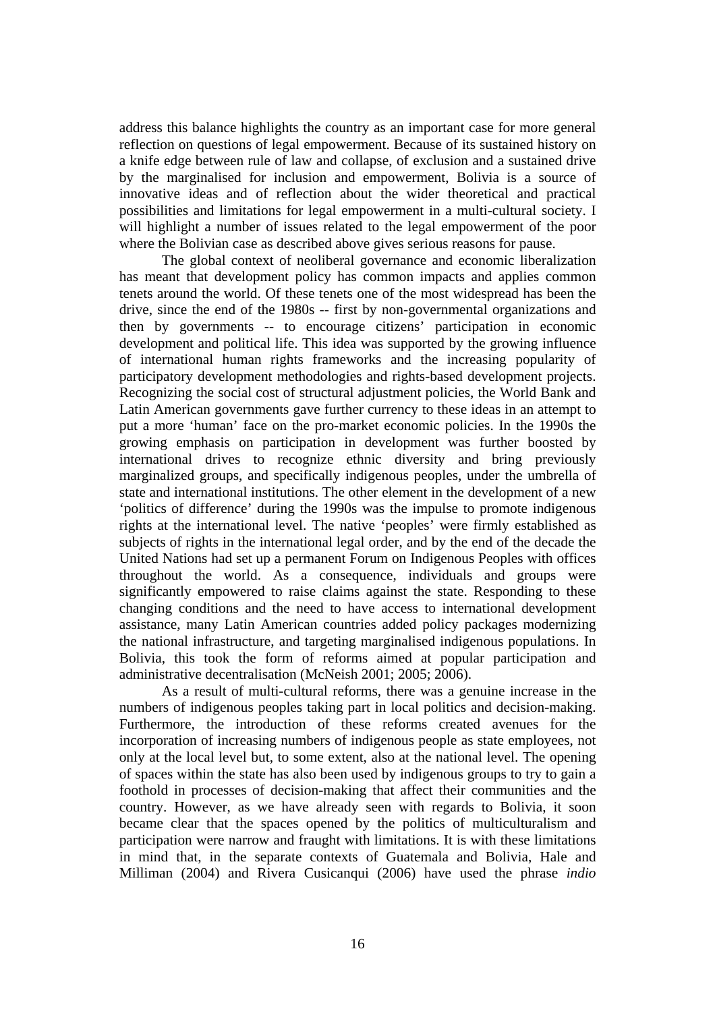address this balance highlights the country as an important case for more general reflection on questions of legal empowerment. Because of its sustained history on a knife edge between rule of law and collapse, of exclusion and a sustained drive by the marginalised for inclusion and empowerment, Bolivia is a source of innovative ideas and of reflection about the wider theoretical and practical possibilities and limitations for legal empowerment in a multi-cultural society. I will highlight a number of issues related to the legal empowerment of the poor where the Bolivian case as described above gives serious reasons for pause.

The global context of neoliberal governance and economic liberalization has meant that development policy has common impacts and applies common tenets around the world. Of these tenets one of the most widespread has been the drive, since the end of the 1980s -- first by non-governmental organizations and then by governments -- to encourage citizens' participation in economic development and political life. This idea was supported by the growing influence of international human rights frameworks and the increasing popularity of participatory development methodologies and rights-based development projects. Recognizing the social cost of structural adjustment policies, the World Bank and Latin American governments gave further currency to these ideas in an attempt to put a more 'human' face on the pro-market economic policies. In the 1990s the growing emphasis on participation in development was further boosted by international drives to recognize ethnic diversity and bring previously marginalized groups, and specifically indigenous peoples, under the umbrella of state and international institutions. The other element in the development of a new 'politics of difference' during the 1990s was the impulse to promote indigenous rights at the international level. The native 'peoples' were firmly established as subjects of rights in the international legal order, and by the end of the decade the United Nations had set up a permanent Forum on Indigenous Peoples with offices throughout the world. As a consequence, individuals and groups were significantly empowered to raise claims against the state. Responding to these changing conditions and the need to have access to international development assistance, many Latin American countries added policy packages modernizing the national infrastructure, and targeting marginalised indigenous populations. In Bolivia, this took the form of reforms aimed at popular participation and administrative decentralisation (McNeish 2001; 2005; 2006).

As a result of multi-cultural reforms, there was a genuine increase in the numbers of indigenous peoples taking part in local politics and decision-making. Furthermore, the introduction of these reforms created avenues for the incorporation of increasing numbers of indigenous people as state employees, not only at the local level but, to some extent, also at the national level. The opening of spaces within the state has also been used by indigenous groups to try to gain a foothold in processes of decision-making that affect their communities and the country. However, as we have already seen with regards to Bolivia, it soon became clear that the spaces opened by the politics of multiculturalism and participation were narrow and fraught with limitations. It is with these limitations in mind that, in the separate contexts of Guatemala and Bolivia, Hale and Milliman (2004) and Rivera Cusicanqui (2006) have used the phrase *indio*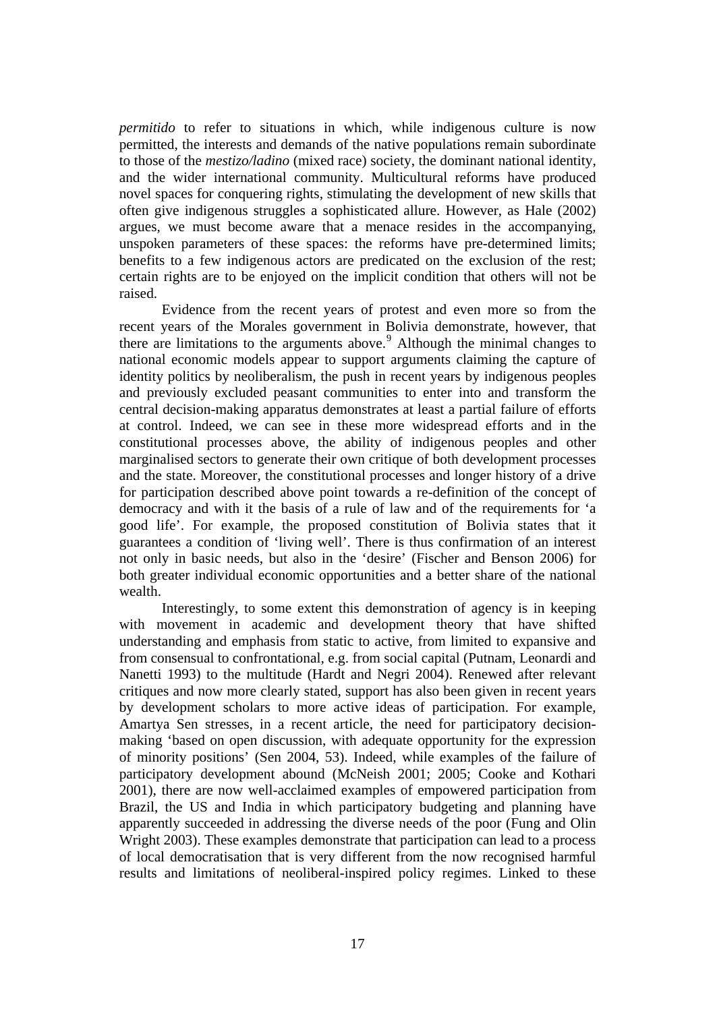*permitido* to refer to situations in which, while indigenous culture is now permitted, the interests and demands of the native populations remain subordinate to those of the *mestizo/ladino* (mixed race) society, the dominant national identity, and the wider international community. Multicultural reforms have produced novel spaces for conquering rights, stimulating the development of new skills that often give indigenous struggles a sophisticated allure. However, as Hale (2002) argues, we must become aware that a menace resides in the accompanying, unspoken parameters of these spaces: the reforms have pre-determined limits; benefits to a few indigenous actors are predicated on the exclusion of the rest; certain rights are to be enjoyed on the implicit condition that others will not be raised.

Evidence from the recent years of protest and even more so from the recent years of the Morales government in Bolivia demonstrate, however, that there are limitations to the arguments above. $9$  Although the minimal changes to national economic models appear to support arguments claiming the capture of identity politics by neoliberalism, the push in recent years by indigenous peoples and previously excluded peasant communities to enter into and transform the central decision-making apparatus demonstrates at least a partial failure of efforts at control. Indeed, we can see in these more widespread efforts and in the constitutional processes above, the ability of indigenous peoples and other marginalised sectors to generate their own critique of both development processes and the state. Moreover, the constitutional processes and longer history of a drive for participation described above point towards a re-definition of the concept of democracy and with it the basis of a rule of law and of the requirements for 'a good life'. For example, the proposed constitution of Bolivia states that it guarantees a condition of 'living well'. There is thus confirmation of an interest not only in basic needs, but also in the 'desire' (Fischer and Benson 2006) for both greater individual economic opportunities and a better share of the national wealth.

Interestingly, to some extent this demonstration of agency is in keeping with movement in academic and development theory that have shifted understanding and emphasis from static to active, from limited to expansive and from consensual to confrontational, e.g. from social capital (Putnam, Leonardi and Nanetti 1993) to the multitude (Hardt and Negri 2004). Renewed after relevant critiques and now more clearly stated, support has also been given in recent years by development scholars to more active ideas of participation. For example, Amartya Sen stresses, in a recent article, the need for participatory decisionmaking 'based on open discussion, with adequate opportunity for the expression of minority positions' (Sen 2004, 53). Indeed, while examples of the failure of participatory development abound (McNeish 2001; 2005; Cooke and Kothari 2001), there are now well-acclaimed examples of empowered participation from Brazil, the US and India in which participatory budgeting and planning have apparently succeeded in addressing the diverse needs of the poor (Fung and Olin Wright 2003). These examples demonstrate that participation can lead to a process of local democratisation that is very different from the now recognised harmful results and limitations of neoliberal-inspired policy regimes. Linked to these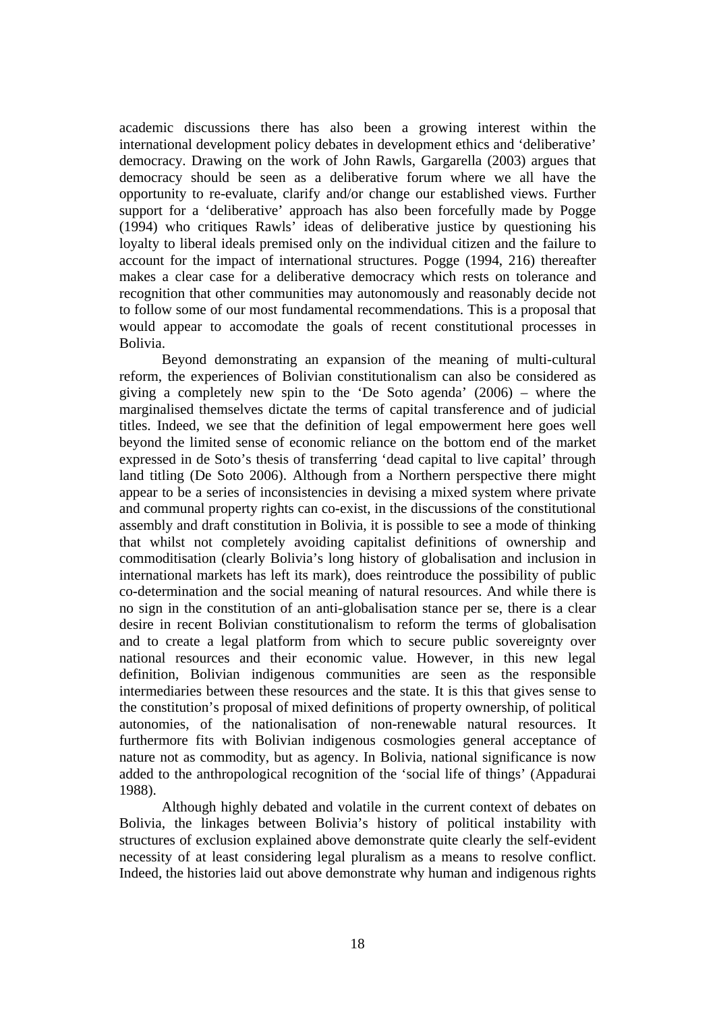academic discussions there has also been a growing interest within the international development policy debates in development ethics and 'deliberative' democracy. Drawing on the work of John Rawls, Gargarella (2003) argues that democracy should be seen as a deliberative forum where we all have the opportunity to re-evaluate, clarify and/or change our established views. Further support for a 'deliberative' approach has also been forcefully made by Pogge (1994) who critiques Rawls' ideas of deliberative justice by questioning his loyalty to liberal ideals premised only on the individual citizen and the failure to account for the impact of international structures. Pogge (1994, 216) thereafter makes a clear case for a deliberative democracy which rests on tolerance and recognition that other communities may autonomously and reasonably decide not to follow some of our most fundamental recommendations. This is a proposal that would appear to accomodate the goals of recent constitutional processes in Bolivia.

Beyond demonstrating an expansion of the meaning of multi-cultural reform, the experiences of Bolivian constitutionalism can also be considered as giving a completely new spin to the 'De Soto agenda' (2006) – where the marginalised themselves dictate the terms of capital transference and of judicial titles. Indeed, we see that the definition of legal empowerment here goes well beyond the limited sense of economic reliance on the bottom end of the market expressed in de Soto's thesis of transferring 'dead capital to live capital' through land titling (De Soto 2006). Although from a Northern perspective there might appear to be a series of inconsistencies in devising a mixed system where private and communal property rights can co-exist, in the discussions of the constitutional assembly and draft constitution in Bolivia, it is possible to see a mode of thinking that whilst not completely avoiding capitalist definitions of ownership and commoditisation (clearly Bolivia's long history of globalisation and inclusion in international markets has left its mark), does reintroduce the possibility of public co-determination and the social meaning of natural resources. And while there is no sign in the constitution of an anti-globalisation stance per se, there is a clear desire in recent Bolivian constitutionalism to reform the terms of globalisation and to create a legal platform from which to secure public sovereignty over national resources and their economic value. However, in this new legal definition, Bolivian indigenous communities are seen as the responsible intermediaries between these resources and the state. It is this that gives sense to the constitution's proposal of mixed definitions of property ownership, of political autonomies, of the nationalisation of non-renewable natural resources. It furthermore fits with Bolivian indigenous cosmologies general acceptance of nature not as commodity, but as agency. In Bolivia, national significance is now added to the anthropological recognition of the 'social life of things' (Appadurai 1988).

Although highly debated and volatile in the current context of debates on Bolivia, the linkages between Bolivia's history of political instability with structures of exclusion explained above demonstrate quite clearly the self-evident necessity of at least considering legal pluralism as a means to resolve conflict. Indeed, the histories laid out above demonstrate why human and indigenous rights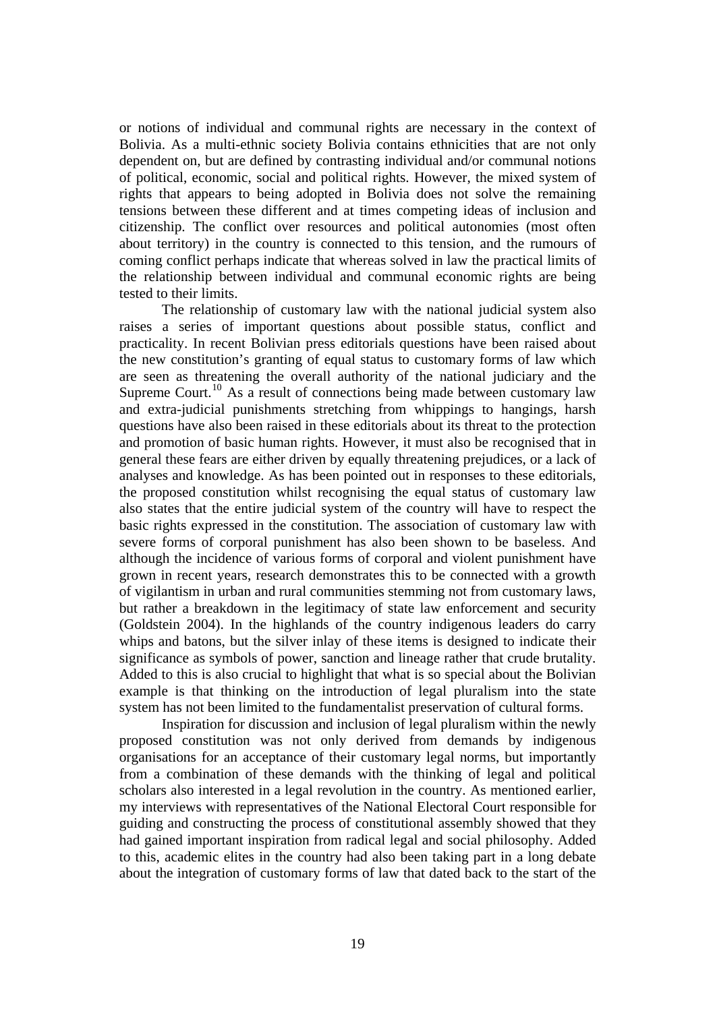or notions of individual and communal rights are necessary in the context of Bolivia. As a multi-ethnic society Bolivia contains ethnicities that are not only dependent on, but are defined by contrasting individual and/or communal notions of political, economic, social and political rights. However, the mixed system of rights that appears to being adopted in Bolivia does not solve the remaining tensions between these different and at times competing ideas of inclusion and citizenship. The conflict over resources and political autonomies (most often about territory) in the country is connected to this tension, and the rumours of coming conflict perhaps indicate that whereas solved in law the practical limits of the relationship between individual and communal economic rights are being tested to their limits.

The relationship of customary law with the national judicial system also raises a series of important questions about possible status, conflict and practicality. In recent Bolivian press editorials questions have been raised about the new constitution's granting of equal status to customary forms of law which are seen as threatening the overall authority of the national judiciary and the Supreme Court.<sup>[10](#page-28-0)</sup> As a result of connections being made between customary law and extra-judicial punishments stretching from whippings to hangings, harsh questions have also been raised in these editorials about its threat to the protection and promotion of basic human rights. However, it must also be recognised that in general these fears are either driven by equally threatening prejudices, or a lack of analyses and knowledge. As has been pointed out in responses to these editorials, the proposed constitution whilst recognising the equal status of customary law also states that the entire judicial system of the country will have to respect the basic rights expressed in the constitution. The association of customary law with severe forms of corporal punishment has also been shown to be baseless. And although the incidence of various forms of corporal and violent punishment have grown in recent years, research demonstrates this to be connected with a growth of vigilantism in urban and rural communities stemming not from customary laws, but rather a breakdown in the legitimacy of state law enforcement and security (Goldstein 2004). In the highlands of the country indigenous leaders do carry whips and batons, but the silver inlay of these items is designed to indicate their significance as symbols of power, sanction and lineage rather that crude brutality. Added to this is also crucial to highlight that what is so special about the Bolivian example is that thinking on the introduction of legal pluralism into the state system has not been limited to the fundamentalist preservation of cultural forms.

Inspiration for discussion and inclusion of legal pluralism within the newly proposed constitution was not only derived from demands by indigenous organisations for an acceptance of their customary legal norms, but importantly from a combination of these demands with the thinking of legal and political scholars also interested in a legal revolution in the country. As mentioned earlier, my interviews with representatives of the National Electoral Court responsible for guiding and constructing the process of constitutional assembly showed that they had gained important inspiration from radical legal and social philosophy. Added to this, academic elites in the country had also been taking part in a long debate about the integration of customary forms of law that dated back to the start of the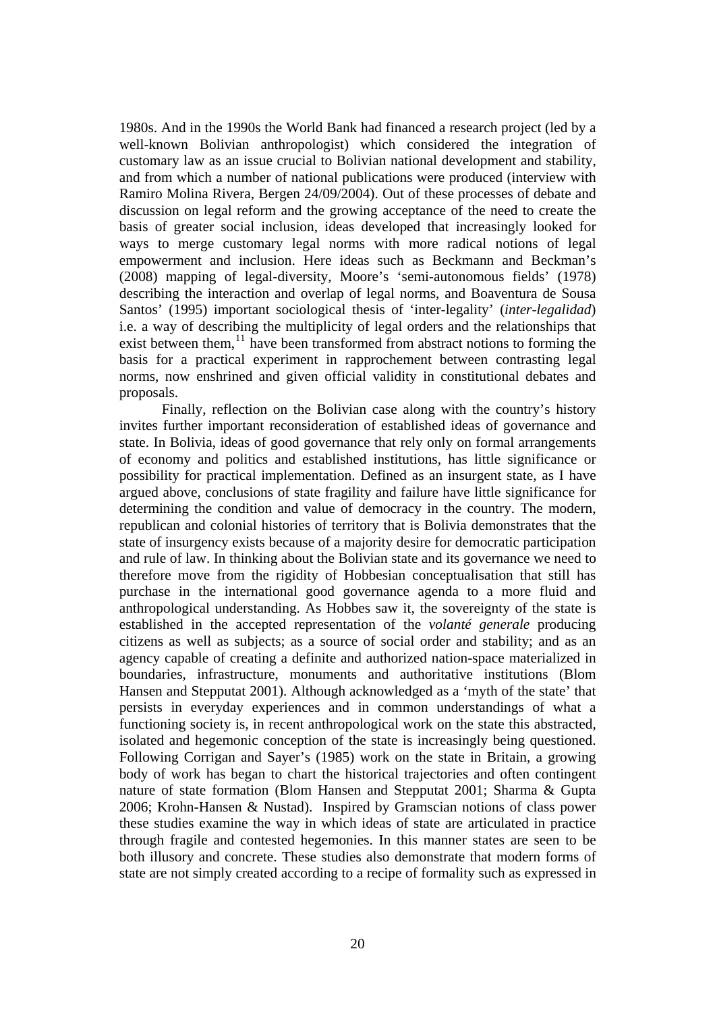1980s. And in the 1990s the World Bank had financed a research project (led by a well-known Bolivian anthropologist) which considered the integration of customary law as an issue crucial to Bolivian national development and stability, and from which a number of national publications were produced (interview with Ramiro Molina Rivera, Bergen 24/09/2004). Out of these processes of debate and discussion on legal reform and the growing acceptance of the need to create the basis of greater social inclusion, ideas developed that increasingly looked for ways to merge customary legal norms with more radical notions of legal empowerment and inclusion. Here ideas such as Beckmann and Beckman's (2008) mapping of legal-diversity, Moore's 'semi-autonomous fields' (1978) describing the interaction and overlap of legal norms, and Boaventura de Sousa Santos' (1995) important sociological thesis of 'inter-legality' (*inter-legalidad*) i.e. a way of describing the multiplicity of legal orders and the relationships that exist between them, $^{11}$  $^{11}$  $^{11}$  have been transformed from abstract notions to forming the basis for a practical experiment in rapprochement between contrasting legal norms, now enshrined and given official validity in constitutional debates and proposals.

Finally, reflection on the Bolivian case along with the country's history invites further important reconsideration of established ideas of governance and state. In Bolivia, ideas of good governance that rely only on formal arrangements of economy and politics and established institutions, has little significance or possibility for practical implementation. Defined as an insurgent state, as I have argued above, conclusions of state fragility and failure have little significance for determining the condition and value of democracy in the country. The modern, republican and colonial histories of territory that is Bolivia demonstrates that the state of insurgency exists because of a majority desire for democratic participation and rule of law. In thinking about the Bolivian state and its governance we need to therefore move from the rigidity of Hobbesian conceptualisation that still has purchase in the international good governance agenda to a more fluid and anthropological understanding. As Hobbes saw it, the sovereignty of the state is established in the accepted representation of the *volanté generale* producing citizens as well as subjects; as a source of social order and stability; and as an agency capable of creating a definite and authorized nation-space materialized in boundaries, infrastructure, monuments and authoritative institutions (Blom Hansen and Stepputat 2001). Although acknowledged as a 'myth of the state' that persists in everyday experiences and in common understandings of what a functioning society is, in recent anthropological work on the state this abstracted, isolated and hegemonic conception of the state is increasingly being questioned. Following Corrigan and Sayer's (1985) work on the state in Britain, a growing body of work has began to chart the historical trajectories and often contingent nature of state formation (Blom Hansen and Stepputat 2001; Sharma & Gupta 2006; Krohn-Hansen & Nustad). Inspired by Gramscian notions of class power these studies examine the way in which ideas of state are articulated in practice through fragile and contested hegemonies. In this manner states are seen to be both illusory and concrete. These studies also demonstrate that modern forms of state are not simply created according to a recipe of formality such as expressed in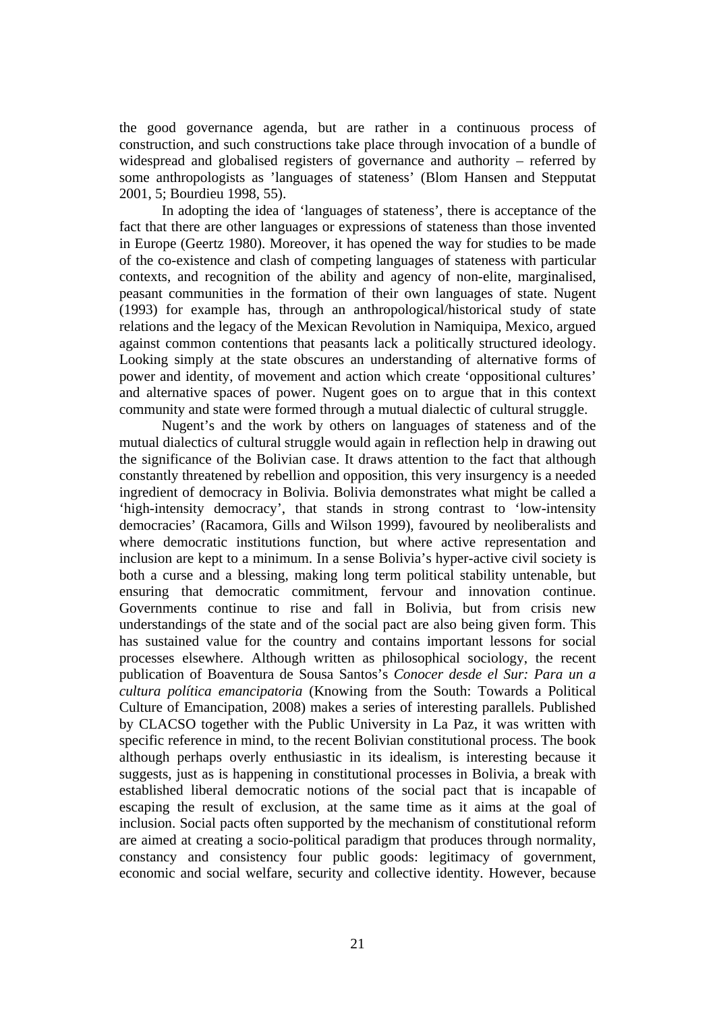the good governance agenda, but are rather in a continuous process of construction, and such constructions take place through invocation of a bundle of widespread and globalised registers of governance and authority – referred by some anthropologists as 'languages of stateness' (Blom Hansen and Stepputat 2001, 5; Bourdieu 1998, 55).

In adopting the idea of 'languages of stateness', there is acceptance of the fact that there are other languages or expressions of stateness than those invented in Europe (Geertz 1980). Moreover, it has opened the way for studies to be made of the co-existence and clash of competing languages of stateness with particular contexts, and recognition of the ability and agency of non-elite, marginalised, peasant communities in the formation of their own languages of state. Nugent (1993) for example has, through an anthropological/historical study of state relations and the legacy of the Mexican Revolution in Namiquipa, Mexico, argued against common contentions that peasants lack a politically structured ideology. Looking simply at the state obscures an understanding of alternative forms of power and identity, of movement and action which create 'oppositional cultures' and alternative spaces of power. Nugent goes on to argue that in this context community and state were formed through a mutual dialectic of cultural struggle.

Nugent's and the work by others on languages of stateness and of the mutual dialectics of cultural struggle would again in reflection help in drawing out the significance of the Bolivian case. It draws attention to the fact that although constantly threatened by rebellion and opposition, this very insurgency is a needed ingredient of democracy in Bolivia. Bolivia demonstrates what might be called a 'high-intensity democracy', that stands in strong contrast to 'low-intensity democracies' (Racamora, Gills and Wilson 1999), favoured by neoliberalists and where democratic institutions function, but where active representation and inclusion are kept to a minimum. In a sense Bolivia's hyper-active civil society is both a curse and a blessing, making long term political stability untenable, but ensuring that democratic commitment, fervour and innovation continue. Governments continue to rise and fall in Bolivia, but from crisis new understandings of the state and of the social pact are also being given form. This has sustained value for the country and contains important lessons for social processes elsewhere. Although written as philosophical sociology, the recent publication of Boaventura de Sousa Santos's *Conocer desde el Sur: Para un a cultura política emancipatoria* (Knowing from the South: Towards a Political Culture of Emancipation, 2008) makes a series of interesting parallels. Published by CLACSO together with the Public University in La Paz, it was written with specific reference in mind, to the recent Bolivian constitutional process. The book although perhaps overly enthusiastic in its idealism, is interesting because it suggests, just as is happening in constitutional processes in Bolivia, a break with established liberal democratic notions of the social pact that is incapable of escaping the result of exclusion, at the same time as it aims at the goal of inclusion. Social pacts often supported by the mechanism of constitutional reform are aimed at creating a socio-political paradigm that produces through normality, constancy and consistency four public goods: legitimacy of government, economic and social welfare, security and collective identity. However, because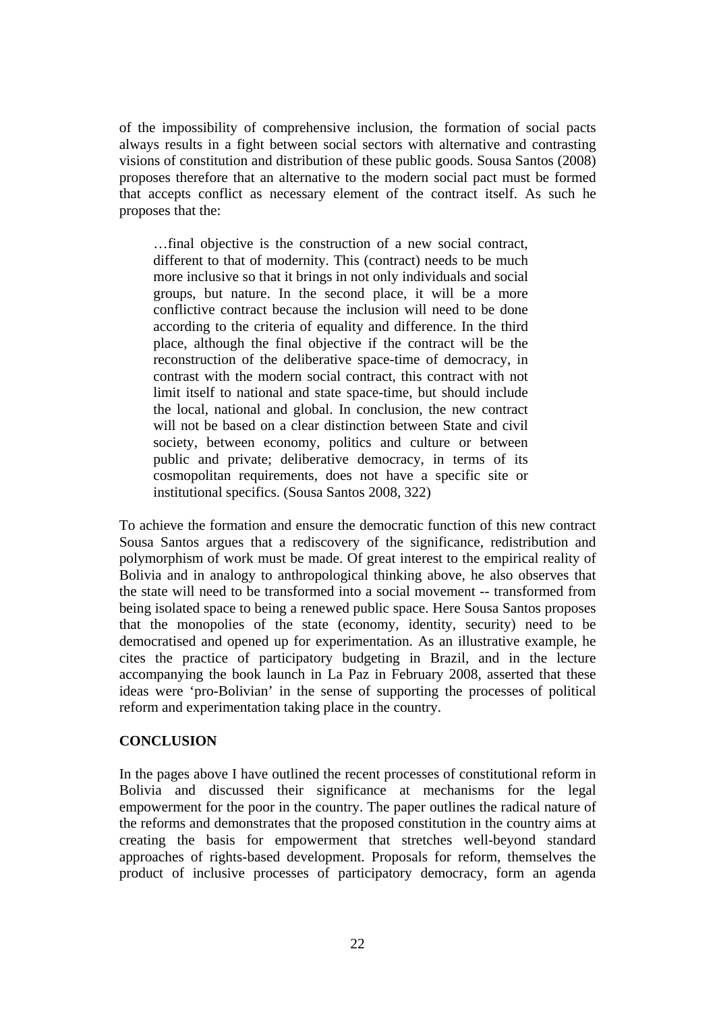of the impossibility of comprehensive inclusion, the formation of social pacts always results in a fight between social sectors with alternative and contrasting visions of constitution and distribution of these public goods. Sousa Santos (2008) proposes therefore that an alternative to the modern social pact must be formed that accepts conflict as necessary element of the contract itself. As such he proposes that the:

…final objective is the construction of a new social contract, different to that of modernity. This (contract) needs to be much more inclusive so that it brings in not only individuals and social groups, but nature. In the second place, it will be a more conflictive contract because the inclusion will need to be done according to the criteria of equality and difference. In the third place, although the final objective if the contract will be the reconstruction of the deliberative space-time of democracy, in contrast with the modern social contract, this contract with not limit itself to national and state space-time, but should include the local, national and global. In conclusion, the new contract will not be based on a clear distinction between State and civil society, between economy, politics and culture or between public and private; deliberative democracy, in terms of its cosmopolitan requirements, does not have a specific site or institutional specifics. (Sousa Santos 2008, 322)

To achieve the formation and ensure the democratic function of this new contract Sousa Santos argues that a rediscovery of the significance, redistribution and polymorphism of work must be made. Of great interest to the empirical reality of Bolivia and in analogy to anthropological thinking above, he also observes that the state will need to be transformed into a social movement -- transformed from being isolated space to being a renewed public space. Here Sousa Santos proposes that the monopolies of the state (economy, identity, security) need to be democratised and opened up for experimentation. As an illustrative example, he cites the practice of participatory budgeting in Brazil, and in the lecture accompanying the book launch in La Paz in February 2008, asserted that these ideas were 'pro-Bolivian' in the sense of supporting the processes of political reform and experimentation taking place in the country.

# **CONCLUSION**

In the pages above I have outlined the recent processes of constitutional reform in Bolivia and discussed their significance at mechanisms for the legal empowerment for the poor in the country. The paper outlines the radical nature of the reforms and demonstrates that the proposed constitution in the country aims at creating the basis for empowerment that stretches well-beyond standard approaches of rights-based development. Proposals for reform, themselves the product of inclusive processes of participatory democracy, form an agenda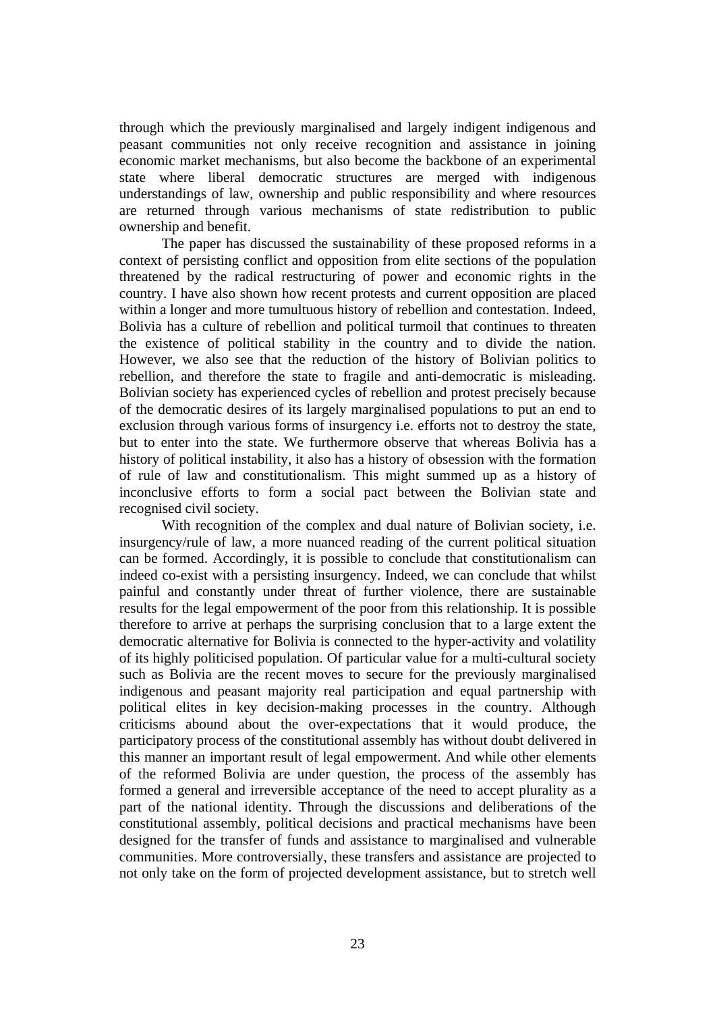through which the previously marginalised and largely indigent indigenous and peasant communities not only receive recognition and assistance in joining economic market mechanisms, but also become the backbone of an experimental state where liberal democratic structures are merged with indigenous understandings of law, ownership and public responsibility and where resources are returned through various mechanisms of state redistribution to public ownership and benefit.

The paper has discussed the sustainability of these proposed reforms in a context of persisting conflict and opposition from elite sections of the population threatened by the radical restructuring of power and economic rights in the country. I have also shown how recent protests and current opposition are placed within a longer and more tumultuous history of rebellion and contestation. Indeed, Bolivia has a culture of rebellion and political turmoil that continues to threaten the existence of political stability in the country and to divide the nation. However, we also see that the reduction of the history of Bolivian politics to rebellion, and therefore the state to fragile and anti-democratic is misleading. Bolivian society has experienced cycles of rebellion and protest precisely because of the democratic desires of its largely marginalised populations to put an end to exclusion through various forms of insurgency i.e. efforts not to destroy the state, but to enter into the state. We furthermore observe that whereas Bolivia has a history of political instability, it also has a history of obsession with the formation of rule of law and constitutionalism. This might summed up as a history of inconclusive efforts to form a social pact between the Bolivian state and recognised civil society.

With recognition of the complex and dual nature of Bolivian society, *i.e.* insurgency/rule of law, a more nuanced reading of the current political situation can be formed. Accordingly, it is possible to conclude that constitutionalism can indeed co-exist with a persisting insurgency. Indeed, we can conclude that whilst painful and constantly under threat of further violence, there are sustainable results for the legal empowerment of the poor from this relationship. It is possible therefore to arrive at perhaps the surprising conclusion that to a large extent the democratic alternative for Bolivia is connected to the hyper-activity and volatility of its highly politicised population. Of particular value for a multi-cultural society such as Bolivia are the recent moves to secure for the previously marginalised indigenous and peasant majority real participation and equal partnership with political elites in key decision-making processes in the country. Although criticisms abound about the over-expectations that it would produce, the participatory process of the constitutional assembly has without doubt delivered in this manner an important result of legal empowerment. And while other elements of the reformed Bolivia are under question, the process of the assembly has formed a general and irreversible acceptance of the need to accept plurality as a part of the national identity. Through the discussions and deliberations of the constitutional assembly, political decisions and practical mechanisms have been designed for the transfer of funds and assistance to marginalised and vulnerable communities. More controversially, these transfers and assistance are projected to not only take on the form of projected development assistance, but to stretch well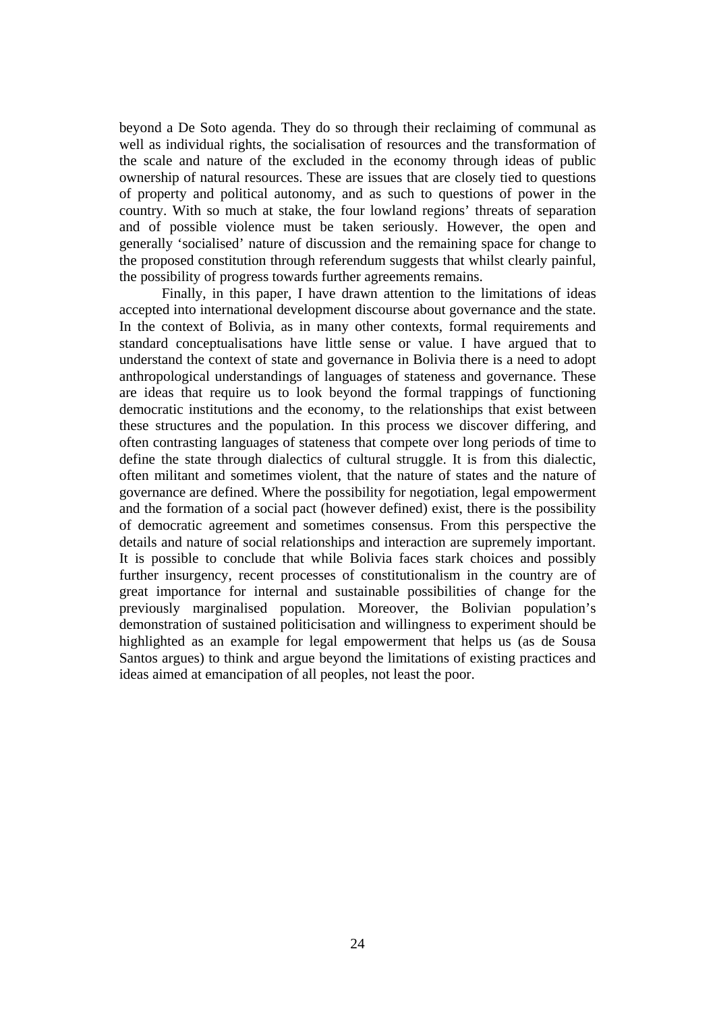beyond a De Soto agenda. They do so through their reclaiming of communal as well as individual rights, the socialisation of resources and the transformation of the scale and nature of the excluded in the economy through ideas of public ownership of natural resources. These are issues that are closely tied to questions of property and political autonomy, and as such to questions of power in the country. With so much at stake, the four lowland regions' threats of separation and of possible violence must be taken seriously. However, the open and generally 'socialised' nature of discussion and the remaining space for change to the proposed constitution through referendum suggests that whilst clearly painful, the possibility of progress towards further agreements remains.

Finally, in this paper, I have drawn attention to the limitations of ideas accepted into international development discourse about governance and the state. In the context of Bolivia, as in many other contexts, formal requirements and standard conceptualisations have little sense or value. I have argued that to understand the context of state and governance in Bolivia there is a need to adopt anthropological understandings of languages of stateness and governance. These are ideas that require us to look beyond the formal trappings of functioning democratic institutions and the economy, to the relationships that exist between these structures and the population. In this process we discover differing, and often contrasting languages of stateness that compete over long periods of time to define the state through dialectics of cultural struggle. It is from this dialectic, often militant and sometimes violent, that the nature of states and the nature of governance are defined. Where the possibility for negotiation, legal empowerment and the formation of a social pact (however defined) exist, there is the possibility of democratic agreement and sometimes consensus. From this perspective the details and nature of social relationships and interaction are supremely important. It is possible to conclude that while Bolivia faces stark choices and possibly further insurgency, recent processes of constitutionalism in the country are of great importance for internal and sustainable possibilities of change for the previously marginalised population. Moreover, the Bolivian population's demonstration of sustained politicisation and willingness to experiment should be highlighted as an example for legal empowerment that helps us (as de Sousa Santos argues) to think and argue beyond the limitations of existing practices and ideas aimed at emancipation of all peoples, not least the poor.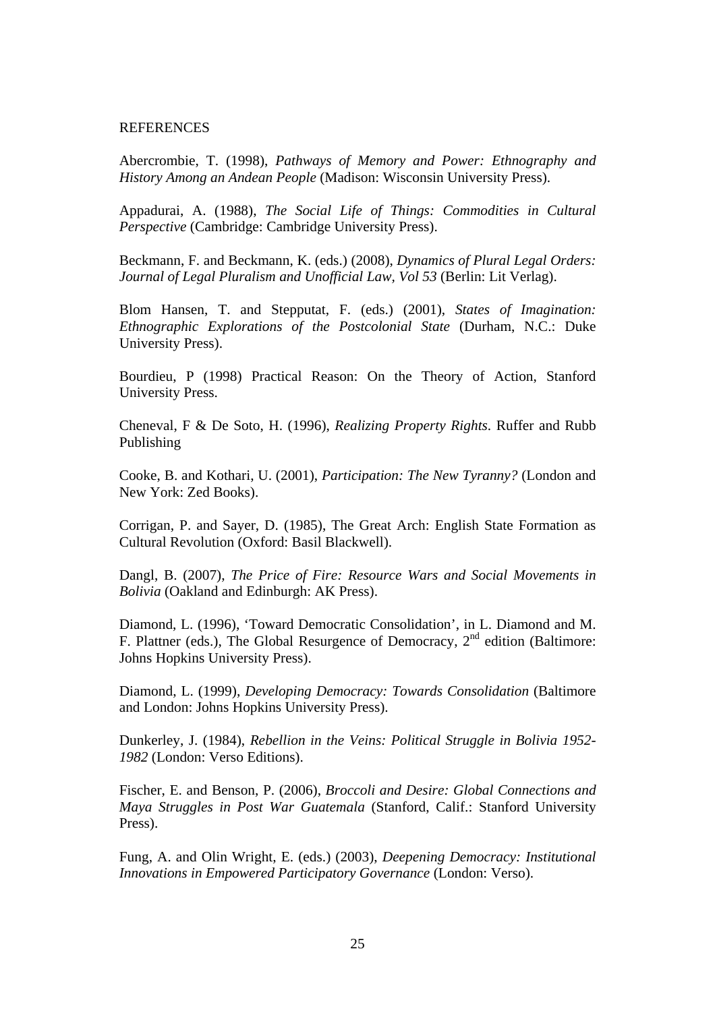### REFERENCES

Abercrombie, T. (1998), *Pathways of Memory and Power: Ethnography and History Among an Andean People* (Madison: Wisconsin University Press).

Appadurai, A. (1988), *The Social Life of Things: Commodities in Cultural Perspective* (Cambridge: Cambridge University Press).

Beckmann, F. and Beckmann, K. (eds.) (2008), *Dynamics of Plural Legal Orders: Journal of Legal Pluralism and Unofficial Law, Vol 53* (Berlin: Lit Verlag).

Blom Hansen, T. and Stepputat, F. (eds.) (2001), *States of Imagination: Ethnographic Explorations of the Postcolonial State* (Durham, N.C.: Duke University Press).

Bourdieu, P (1998) Practical Reason: On the Theory of Action, Stanford University Press.

Cheneval, F & De Soto, H. (1996), *Realizing Property Rights*. Ruffer and Rubb Publishing

Cooke, B. and Kothari, U. (2001), *Participation: The New Tyranny?* (London and New York: Zed Books).

Corrigan, P. and Sayer, D. (1985), The Great Arch: English State Formation as Cultural Revolution (Oxford: Basil Blackwell).

Dangl, B. (2007), *The Price of Fire: Resource Wars and Social Movements in Bolivia* (Oakland and Edinburgh: AK Press).

Diamond, L. (1996), 'Toward Democratic Consolidation', in L. Diamond and M. F. Plattner (eds.), The Global Resurgence of Democracy,  $2<sup>nd</sup>$  edition (Baltimore: Johns Hopkins University Press).

Diamond, L. (1999), *Developing Democracy: Towards Consolidation* (Baltimore and London: Johns Hopkins University Press).

Dunkerley, J. (1984), *Rebellion in the Veins: Political Struggle in Bolivia 1952- 1982* (London: Verso Editions).

Fischer, E. and Benson, P. (2006), *Broccoli and Desire: Global Connections and Maya Struggles in Post War Guatemala* (Stanford, Calif.: Stanford University Press).

Fung, A. and Olin Wright, E. (eds.) (2003), *Deepening Democracy: Institutional Innovations in Empowered Participatory Governance* (London: Verso).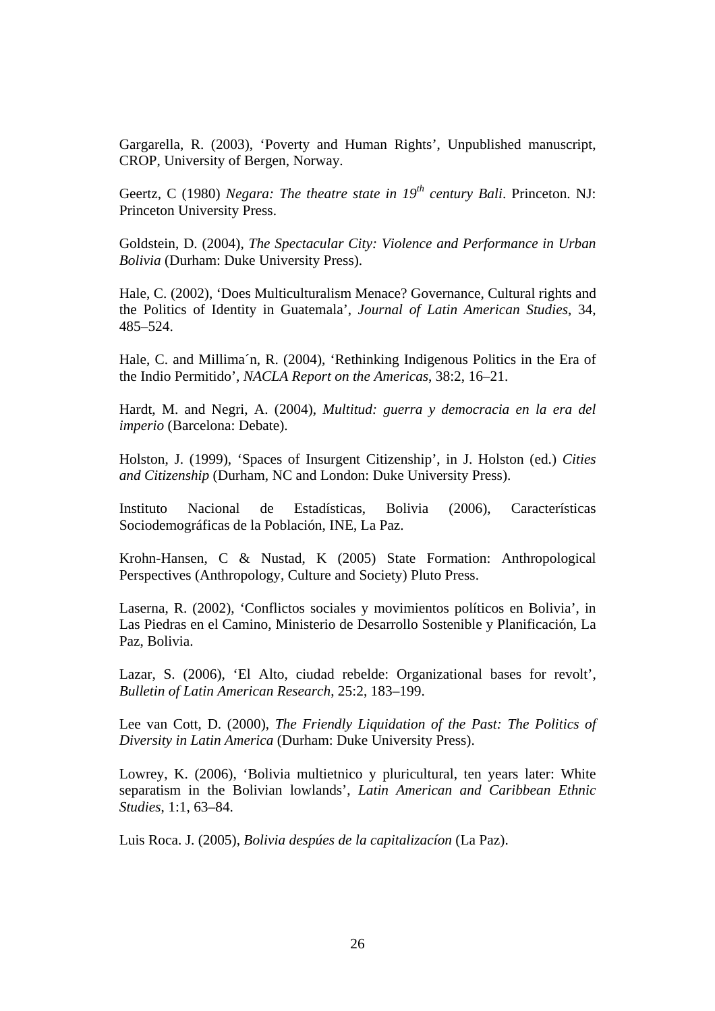Gargarella, R. (2003), 'Poverty and Human Rights', Unpublished manuscript, CROP, University of Bergen, Norway.

Geertz, C (1980) *Negara: The theatre state in 19<sup>th</sup> century Bali.* Princeton. NJ: Princeton University Press.

Goldstein, D. (2004), *The Spectacular City: Violence and Performance in Urban Bolivia* (Durham: Duke University Press).

Hale, C. (2002), 'Does Multiculturalism Menace? Governance, Cultural rights and the Politics of Identity in Guatemala', *Journal of Latin American Studies*, 34, 485–524.

Hale, C. and Millima´n, R. (2004), 'Rethinking Indigenous Politics in the Era of the Indio Permitido', *NACLA Report on the Americas*, 38:2, 16–21.

Hardt, M. and Negri, A. (2004), *Multitud: guerra y democracia en la era del imperio* (Barcelona: Debate).

Holston, J. (1999), 'Spaces of Insurgent Citizenship', in J. Holston (ed.) *Cities and Citizenship* (Durham, NC and London: Duke University Press).

Instituto Nacional de Estadísticas, Bolivia (2006), Características Sociodemográficas de la Población, INE, La Paz.

Krohn-Hansen, C & Nustad, K (2005) State Formation: Anthropological Perspectives (Anthropology, Culture and Society) Pluto Press.

Laserna, R. (2002), 'Conflictos sociales y movimientos políticos en Bolivia', in Las Piedras en el Camino, Ministerio de Desarrollo Sostenible y Planificación, La Paz, Bolivia.

Lazar, S. (2006), 'El Alto, ciudad rebelde: Organizational bases for revolt', *Bulletin of Latin American Research*, 25:2, 183–199.

Lee van Cott, D. (2000), *The Friendly Liquidation of the Past: The Politics of Diversity in Latin America* (Durham: Duke University Press).

Lowrey, K. (2006), 'Bolivia multietnico y pluricultural, ten years later: White separatism in the Bolivian lowlands', *Latin American and Caribbean Ethnic Studies*, 1:1, 63–84.

Luis Roca. J. (2005), *Bolivia despúes de la capitalizacíon* (La Paz).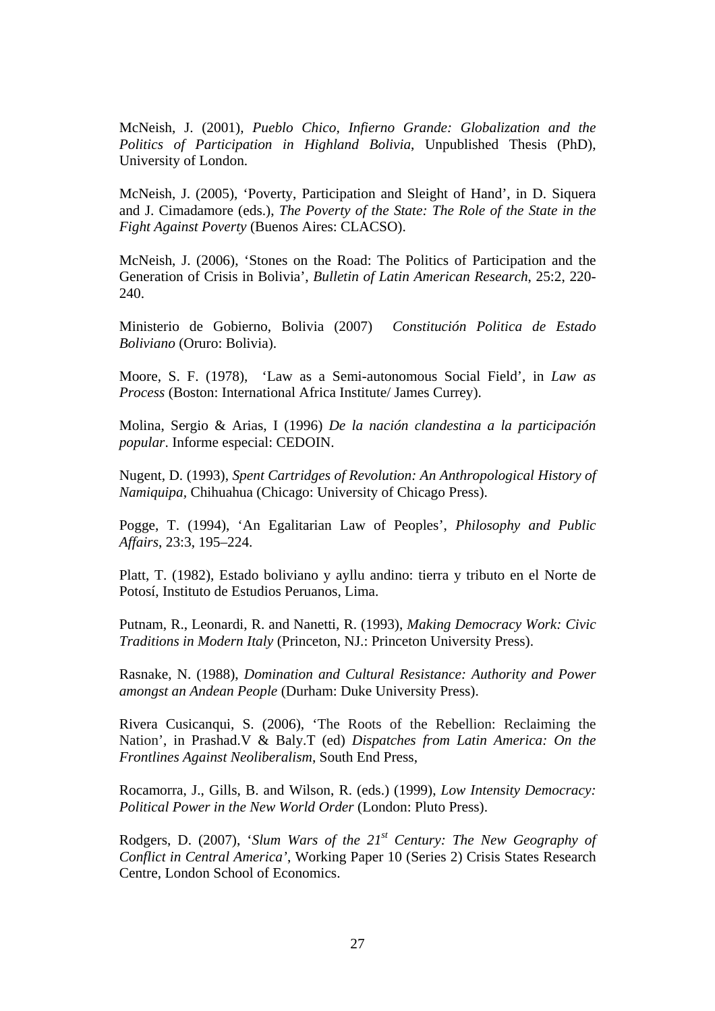McNeish, J. (2001), *Pueblo Chico, Infierno Grande: Globalization and the Politics of Participation in Highland Bolivia*, Unpublished Thesis (PhD), University of London.

McNeish, J. (2005), 'Poverty, Participation and Sleight of Hand', in D. Siquera and J. Cimadamore (eds.), *The Poverty of the State: The Role of the State in the Fight Against Poverty* (Buenos Aires: CLACSO).

McNeish, J. (2006), 'Stones on the Road: The Politics of Participation and the Generation of Crisis in Bolivia', *Bulletin of Latin American Research*, 25:2, 220- 240.

Ministerio de Gobierno, Bolivia (2007) *Constitución Politica de Estado Boliviano* (Oruro: Bolivia).

Moore, S. F. (1978), 'Law as a Semi-autonomous Social Field', in *Law as Process* (Boston: International Africa Institute/ James Currey).

Molina, Sergio & Arias, I (1996) *De la nación clandestina a la participación popular*. Informe especial: CEDOIN.

Nugent, D. (1993), *Spent Cartridges of Revolution: An Anthropological History of Namiquipa,* Chihuahua (Chicago: University of Chicago Press).

Pogge, T. (1994), 'An Egalitarian Law of Peoples', *Philosophy and Public Affairs*, 23:3, 195–224.

Platt, T. (1982), Estado boliviano y ayllu andino: tierra y tributo en el Norte de Potosí, Instituto de Estudios Peruanos, Lima.

Putnam, R., Leonardi, R. and Nanetti, R. (1993), *Making Democracy Work: Civic Traditions in Modern Italy* (Princeton, NJ.: Princeton University Press).

Rasnake, N. (1988), *Domination and Cultural Resistance: Authority and Power amongst an Andean People* (Durham: Duke University Press).

Rivera Cusicanqui, S. (2006), 'The Roots of the Rebellion: Reclaiming the Nation', in Prashad.V & Baly.T (ed) *Dispatches from Latin America: On the Frontlines Against Neoliberalism*, South End Press,

Rocamorra, J., Gills, B. and Wilson, R. (eds.) (1999), *Low Intensity Democracy: Political Power in the New World Order* (London: Pluto Press).

Rodgers, D. (2007), '*Slum Wars of the 21<sup>st</sup> Century: The New Geography of Conflict in Central America'*, Working Paper 10 (Series 2) Crisis States Research Centre, London School of Economics.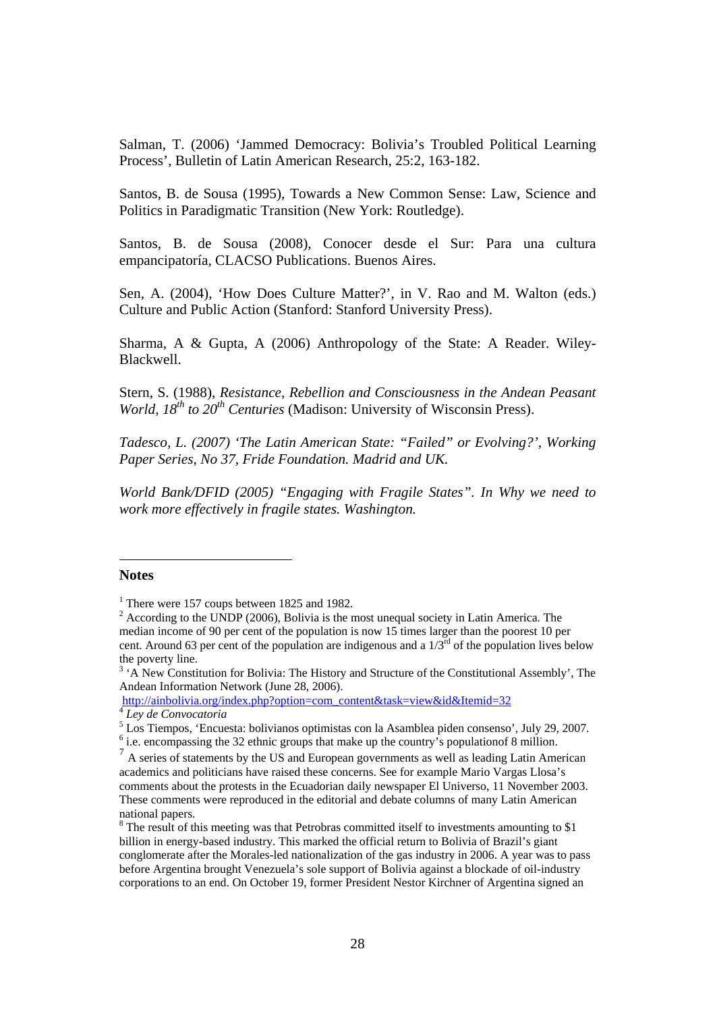<span id="page-27-1"></span>Salman, T. (2006) 'Jammed Democracy: Bolivia's Troubled Political Learning Process', Bulletin of Latin American Research, 25:2, 163-182.

Santos, B. de Sousa (1995), Towards a New Common Sense: Law, Science and Politics in Paradigmatic Transition (New York: Routledge).

Santos, B. de Sousa (2008), Conocer desde el Sur: Para una cultura empancipatoría, CLACSO Publications. Buenos Aires.

Sen, A. (2004), 'How Does Culture Matter?', in V. Rao and M. Walton (eds.) Culture and Public Action (Stanford: Stanford University Press).

Sharma, A & Gupta, A (2006) Anthropology of the State: A Reader. Wiley-Blackwell.

Stern, S. (1988), *Resistance, Rebellion and Consciousness in the Andean Peasant World, 18<sup>th</sup> to 20<sup>th</sup> Centuries* (Madison: University of Wisconsin Press).

*Tadesco, L. (2007) 'The Latin American State: "Failed" or Evolving?', Working Paper Series, No 37, Fride Foundation. Madrid and UK.* 

*World Bank/DFID (2005) "Engaging with Fragile States". In Why we need to work more effectively in fragile states. Washington.* 

## <span id="page-27-0"></span>**Notes**

 $\overline{a}$ 

[http://ainbolivia.org/index.php?option=com\\_content&task=view&id&Itemid=32](http://ainbolivia.org/index.php?option=com_content&task=view&id&Itemid=32) [4](http://ainbolivia.org/index.php?option=com_content&task=view&id&Itemid=32) *Ley de Convocatoria*

<sup>&</sup>lt;sup>1</sup> There were 157 coups between 1825 and 1982.

 $2^{2}$  According to the UNDP (2006), Bolivia is the most unequal society in Latin America. The median income of 90 per cent of the population is now 15 times larger than the poorest 10 per cent. Around 63 per cent of the population are indigenous and a  $1/3<sup>rd</sup>$  of the population lives below the poverty line.

<sup>&</sup>lt;sup>3</sup> 'A New Constitution for Bolivia: The History and Structure of the Constitutional Assembly', The Andean Information Network (June 28, 2006).

<sup>&</sup>lt;sup>5</sup> Los Tiempos, 'Encuesta: bolivianos optimistas con la Asamblea piden consenso', July 29, 2007.

 $6$  i.e. encompassing the 32 ethnic groups that make up the country's population of 8 million.

 $<sup>7</sup>$  A series of statements by the US and European governments as well as leading Latin American</sup> academics and politicians have raised these concerns. See for example Mario Vargas Llosa's comments about the protests in the Ecuadorian daily newspaper El Universo, 11 November 2003. These comments were reproduced in the editorial and debate columns of many Latin American national papers.

<sup>&</sup>lt;sup>8</sup> The result of this meeting was that Petrobras committed itself to investments amounting to \$1 billion in energy-based industry. This marked the official return to Bolivia of Brazil's giant conglomerate after the Morales-led nationalization of the gas industry in 2006. A year was to pass before Argentina brought Venezuela's sole support of Bolivia against a blockade of oil-industry corporations to an end. On October 19, former President Nestor Kirchner of Argentina signed an